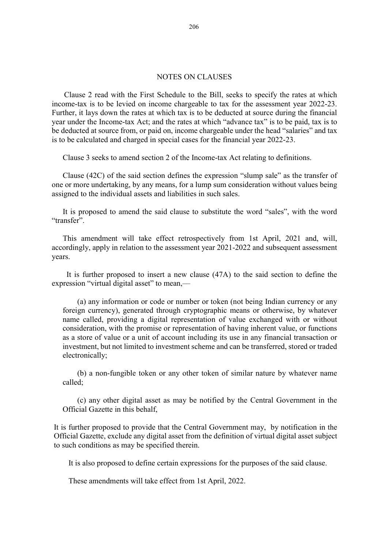## NOTES ON CLAUSES

Clause 2 read with the First Schedule to the Bill, seeks to specify the rates at which income-tax is to be levied on income chargeable to tax for the assessment year 2022-23. Further, it lays down the rates at which tax is to be deducted at source during the financial year under the Income-tax Act; and the rates at which "advance tax" is to be paid, tax is to be deducted at source from, or paid on, income chargeable under the head "salaries" and tax is to be calculated and charged in special cases for the financial year 2022-23.

Clause 3 seeks to amend section 2 of the Income-tax Act relating to definitions.

Clause (42C) of the said section defines the expression "slump sale" as the transfer of one or more undertaking, by any means, for a lump sum consideration without values being assigned to the individual assets and liabilities in such sales.

It is proposed to amend the said clause to substitute the word "sales", with the word "transfer".

This amendment will take effect retrospectively from 1st April, 2021 and, will, accordingly, apply in relation to the assessment year 2021-2022 and subsequent assessment years.

It is further proposed to insert a new clause (47A) to the said section to define the expression "virtual digital asset" to mean,––

(a) any information or code or number or token (not being Indian currency or any foreign currency), generated through cryptographic means or otherwise, by whatever name called, providing a digital representation of value exchanged with or without consideration, with the promise or representation of having inherent value, or functions as a store of value or a unit of account including its use in any financial transaction or investment, but not limited to investment scheme and can be transferred, stored or traded electronically;

(b) a non-fungible token or any other token of similar nature by whatever name called;

(c) any other digital asset as may be notified by the Central Government in the Official Gazette in this behalf,

It is further proposed to provide that the Central Government may, by notification in the Official Gazette, exclude any digital asset from the definition of virtual digital asset subject to such conditions as may be specified therein.

It is also proposed to define certain expressions for the purposes of the said clause.

These amendments will take effect from 1st April, 2022.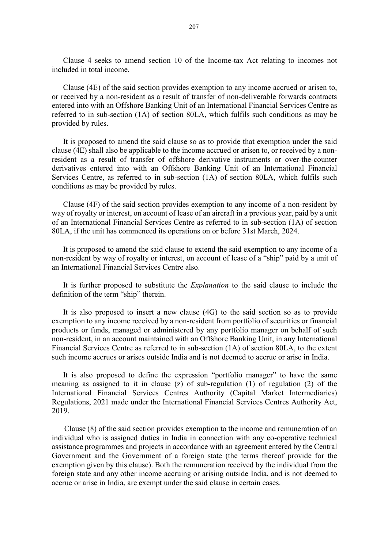Clause 4 seeks to amend section 10 of the Income-tax Act relating to incomes not included in total income.

Clause (4E) of the said section provides exemption to any income accrued or arisen to, or received by a non-resident as a result of transfer of non-deliverable forwards contracts entered into with an Offshore Banking Unit of an International Financial Services Centre as referred to in sub-section (1A) of section 80LA, which fulfils such conditions as may be provided by rules.

It is proposed to amend the said clause so as to provide that exemption under the said clause (4E) shall also be applicable to the income accrued or arisen to, or received by a nonresident as a result of transfer of offshore derivative instruments or over-the-counter derivatives entered into with an Offshore Banking Unit of an International Financial Services Centre, as referred to in sub-section (1A) of section 80LA, which fulfils such conditions as may be provided by rules.

Clause (4F) of the said section provides exemption to any income of a non-resident by way of royalty or interest, on account of lease of an aircraft in a previous year, paid by a unit of an International Financial Services Centre as referred to in sub-section (1A) of section 80LA, if the unit has commenced its operations on or before 31st March, 2024.

It is proposed to amend the said clause to extend the said exemption to any income of a non-resident by way of royalty or interest, on account of lease of a "ship" paid by a unit of an International Financial Services Centre also.

It is further proposed to substitute the *Explanation* to the said clause to include the definition of the term "ship" therein.

It is also proposed to insert a new clause (4G) to the said section so as to provide exemption to any income received by a non-resident from portfolio of securities or financial products or funds, managed or administered by any portfolio manager on behalf of such non-resident, in an account maintained with an Offshore Banking Unit, in any International Financial Services Centre as referred to in sub-section (1A) of section 80LA, to the extent such income accrues or arises outside India and is not deemed to accrue or arise in India.

It is also proposed to define the expression "portfolio manager" to have the same meaning as assigned to it in clause (z) of sub-regulation (1) of regulation (2) of the International Financial Services Centres Authority (Capital Market Intermediaries) Regulations, 2021 made under the International Financial Services Centres Authority Act, 2019.

Clause (8) of the said section provides exemption to the income and remuneration of an individual who is assigned duties in India in connection with any co-operative technical assistance programmes and projects in accordance with an agreement entered by the Central Government and the Government of a foreign state (the terms thereof provide for the exemption given by this clause). Both the remuneration received by the individual from the foreign state and any other income accruing or arising outside India, and is not deemed to accrue or arise in India, are exempt under the said clause in certain cases.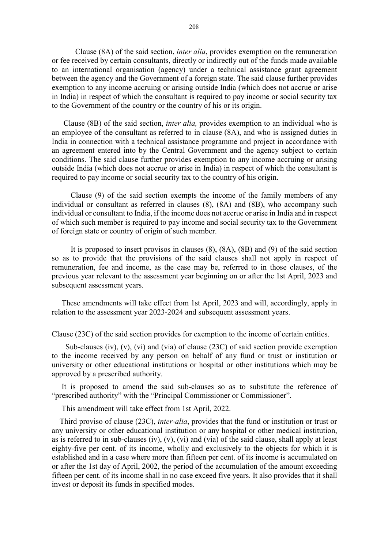Clause (8A) of the said section, inter alia, provides exemption on the remuneration or fee received by certain consultants, directly or indirectly out of the funds made available to an international organisation (agency) under a technical assistance grant agreement between the agency and the Government of a foreign state. The said clause further provides exemption to any income accruing or arising outside India (which does not accrue or arise in India) in respect of which the consultant is required to pay income or social security tax to the Government of the country or the country of his or its origin.

 Clause (8B) of the said section, inter alia, provides exemption to an individual who is an employee of the consultant as referred to in clause (8A), and who is assigned duties in India in connection with a technical assistance programme and project in accordance with an agreement entered into by the Central Government and the agency subject to certain conditions. The said clause further provides exemption to any income accruing or arising outside India (which does not accrue or arise in India) in respect of which the consultant is required to pay income or social security tax to the country of his origin.

Clause (9) of the said section exempts the income of the family members of any individual or consultant as referred in clauses (8), (8A) and (8B), who accompany such individual or consultant to India, if the income does not accrue or arise in India and in respect of which such member is required to pay income and social security tax to the Government of foreign state or country of origin of such member.

It is proposed to insert provisos in clauses (8), (8A), (8B) and (9) of the said section so as to provide that the provisions of the said clauses shall not apply in respect of remuneration, fee and income, as the case may be, referred to in those clauses, of the previous year relevant to the assessment year beginning on or after the 1st April, 2023 and subsequent assessment years.

 These amendments will take effect from 1st April, 2023 and will, accordingly, apply in relation to the assessment year 2023-2024 and subsequent assessment years.

Clause (23C) of the said section provides for exemption to the income of certain entities.

 Sub-clauses (iv), (v), (vi) and (via) of clause (23C) of said section provide exemption to the income received by any person on behalf of any fund or trust or institution or university or other educational institutions or hospital or other institutions which may be approved by a prescribed authority.

 It is proposed to amend the said sub-clauses so as to substitute the reference of "prescribed authority" with the "Principal Commissioner or Commissioner".

This amendment will take effect from 1st April, 2022.

Third proviso of clause (23C), *inter-alia*, provides that the fund or institution or trust or any university or other educational institution or any hospital or other medical institution, as is referred to in sub-clauses (iv), (v), (vi) and (via) of the said clause, shall apply at least eighty-five per cent. of its income, wholly and exclusively to the objects for which it is established and in a case where more than fifteen per cent. of its income is accumulated on or after the 1st day of April, 2002, the period of the accumulation of the amount exceeding fifteen per cent. of its income shall in no case exceed five years. It also provides that it shall invest or deposit its funds in specified modes.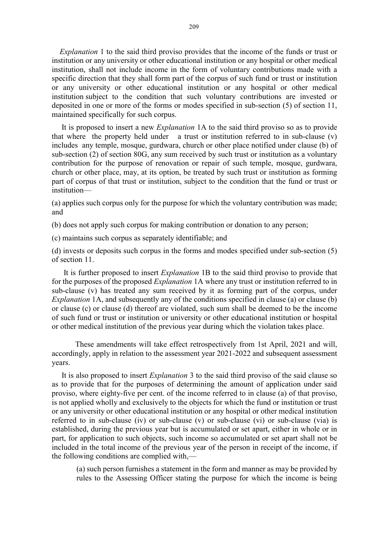Explanation 1 to the said third proviso provides that the income of the funds or trust or institution or any university or other educational institution or any hospital or other medical institution, shall not include income in the form of voluntary contributions made with a specific direction that they shall form part of the corpus of such fund or trust or institution or any university or other educational institution or any hospital or other medical institution subject to the condition that such voluntary contributions are invested or deposited in one or more of the forms or modes specified in sub-section (5) of section 11, maintained specifically for such corpus.

 It is proposed to insert a new Explanation 1A to the said third proviso so as to provide that where the property held under a trust or institution referred to in sub-clause (v) includes any temple, mosque, gurdwara, church or other place notified under clause (b) of sub-section (2) of section 80G, any sum received by such trust or institution as a voluntary contribution for the purpose of renovation or repair of such temple, mosque, gurdwara, church or other place, may, at its option, be treated by such trust or institution as forming part of corpus of that trust or institution, subject to the condition that the fund or trust or institution––

(a) applies such corpus only for the purpose for which the voluntary contribution was made; and

(b) does not apply such corpus for making contribution or donation to any person;

(c) maintains such corpus as separately identifiable; and

(d) invests or deposits such corpus in the forms and modes specified under sub-section (5) of section 11.

It is further proposed to insert *Explanation* 1B to the said third proviso to provide that for the purposes of the proposed Explanation 1A where any trust or institution referred to in sub-clause (v) has treated any sum received by it as forming part of the corpus, under Explanation 1A, and subsequently any of the conditions specified in clause (a) or clause (b) or clause (c) or clause (d) thereof are violated, such sum shall be deemed to be the income of such fund or trust or institution or university or other educational institution or hospital or other medical institution of the previous year during which the violation takes place.

 These amendments will take effect retrospectively from 1st April, 2021 and will, accordingly, apply in relation to the assessment year 2021-2022 and subsequent assessment years.

 It is also proposed to insert Explanation 3 to the said third proviso of the said clause so as to provide that for the purposes of determining the amount of application under said proviso, where eighty-five per cent. of the income referred to in clause (a) of that proviso, is not applied wholly and exclusively to the objects for which the fund or institution or trust or any university or other educational institution or any hospital or other medical institution referred to in sub-clause (iv) or sub-clause (v) or sub-clause (vi) or sub-clause (via) is established, during the previous year but is accumulated or set apart, either in whole or in part, for application to such objects, such income so accumulated or set apart shall not be included in the total income of the previous year of the person in receipt of the income, if the following conditions are complied with,—

(a) such person furnishes a statement in the form and manner as may be provided by rules to the Assessing Officer stating the purpose for which the income is being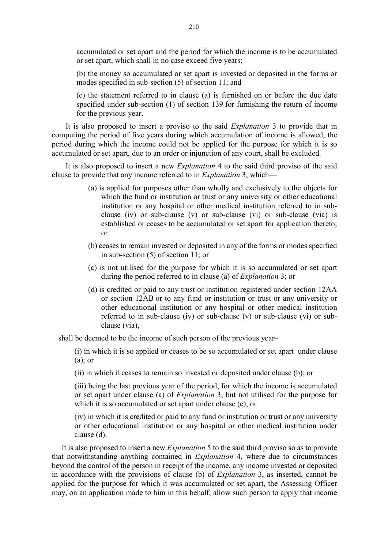accumulated or set apart and the period for which the income is to be accumulated or set apart, which shall in no case exceed five years;

(b) the money so accumulated or set apart is invested or deposited in the forms or modes specified in sub-section (5) of section 11; and

(c) the statement referred to in clause (a) is furnished on or before the due date specified under sub-section (1) of section 139 for furnishing the return of income for the previous year.

 It is also proposed to insert a proviso to the said Explanation 3 to provide that in computing the period of five years during which accumulation of income is allowed, the period during which the income could not be applied for the purpose for which it is so accumulated or set apart, due to an order or injunction of any court, shall be excluded.

 It is also proposed to insert a new Explanation 4 to the said third proviso of the said clause to provide that any income referred to in Explanation 3, which—

- (a) is applied for purposes other than wholly and exclusively to the objects for which the fund or institution or trust or any university or other educational institution or any hospital or other medical institution referred to in subclause (iv) or sub-clause (v) or sub-clause (vi) or sub-clause (via) is established or ceases to be accumulated or set apart for application thereto; or
- (b) ceases to remain invested or deposited in any of the forms or modes specified in sub-section (5) of section 11; or
- (c) is not utilised for the purpose for which it is so accumulated or set apart during the period referred to in clause (a) of Explanation 3; or
- (d) is credited or paid to any trust or institution registered under section 12AA or section 12AB or to any fund or institution or trust or any university or other educational institution or any hospital or other medical institution referred to in sub-clause (iv) or sub-clause (v) or sub-clause (vi) or subclause (via),

shall be deemed to be the income of such person of the previous year–

(i) in which it is so applied or ceases to be so accumulated or set apart under clause  $(a)$ ; or

(ii) in which it ceases to remain so invested or deposited under clause (b); or

(iii) being the last previous year of the period, for which the income is accumulated or set apart under clause (a) of Explanation 3, but not utilised for the purpose for which it is so accumulated or set apart under clause (c); or

(iv) in which it is credited or paid to any fund or institution or trust or any university or other educational institution or any hospital or other medical institution under clause (d).

 It is also proposed to insert a new Explanation 5 to the said third proviso so as to provide that notwithstanding anything contained in Explanation 4, where due to circumstances beyond the control of the person in receipt of the income, any income invested or deposited in accordance with the provisions of clause (b) of Explanation 3, as inserted, cannot be applied for the purpose for which it was accumulated or set apart, the Assessing Officer may, on an application made to him in this behalf, allow such person to apply that income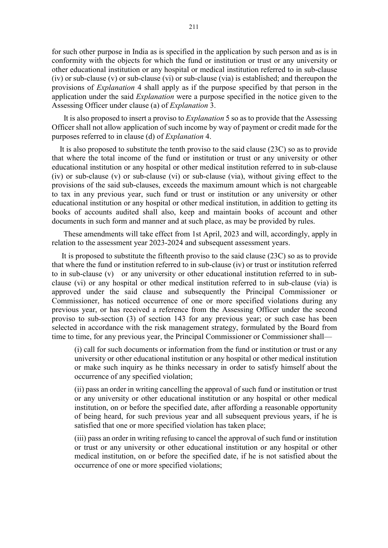for such other purpose in India as is specified in the application by such person and as is in conformity with the objects for which the fund or institution or trust or any university or other educational institution or any hospital or medical institution referred to in sub-clause (iv) or sub-clause (v) or sub-clause (vi) or sub-clause (via) is established; and thereupon the provisions of Explanation 4 shall apply as if the purpose specified by that person in the application under the said *Explanation* were a purpose specified in the notice given to the Assessing Officer under clause (a) of Explanation 3.

It is also proposed to insert a proviso to *Explanation* 5 so as to provide that the Assessing Officer shall not allow application of such income by way of payment or credit made for the purposes referred to in clause (d) of Explanation 4.

 It is also proposed to substitute the tenth proviso to the said clause (23C) so as to provide that where the total income of the fund or institution or trust or any university or other educational institution or any hospital or other medical institution referred to in sub-clause (iv) or sub-clause (v) or sub-clause (vi) or sub-clause (via), without giving effect to the provisions of the said sub-clauses, exceeds the maximum amount which is not chargeable to tax in any previous year, such fund or trust or institution or any university or other educational institution or any hospital or other medical institution, in addition to getting its books of accounts audited shall also, keep and maintain books of account and other documents in such form and manner and at such place, as may be provided by rules.

 These amendments will take effect from 1st April, 2023 and will, accordingly, apply in relation to the assessment year 2023-2024 and subsequent assessment years.

 It is proposed to substitute the fifteenth proviso to the said clause (23C) so as to provide that where the fund or institution referred to in sub-clause (iv) or trust or institution referred to in sub-clause (v) or any university or other educational institution referred to in subclause (vi) or any hospital or other medical institution referred to in sub-clause (via) is approved under the said clause and subsequently the Principal Commissioner or Commissioner, has noticed occurrence of one or more specified violations during any previous year, or has received a reference from the Assessing Officer under the second proviso to sub-section (3) of section 143 for any previous year; or such case has been selected in accordance with the risk management strategy, formulated by the Board from time to time, for any previous year, the Principal Commissioner or Commissioner shall—

(i) call for such documents or information from the fund or institution or trust or any university or other educational institution or any hospital or other medical institution or make such inquiry as he thinks necessary in order to satisfy himself about the occurrence of any specified violation;

(ii) pass an order in writing cancelling the approval of such fund or institution or trust or any university or other educational institution or any hospital or other medical institution, on or before the specified date, after affording a reasonable opportunity of being heard, for such previous year and all subsequent previous years, if he is satisfied that one or more specified violation has taken place;

(iii) pass an order in writing refusing to cancel the approval of such fund or institution or trust or any university or other educational institution or any hospital or other medical institution, on or before the specified date, if he is not satisfied about the occurrence of one or more specified violations;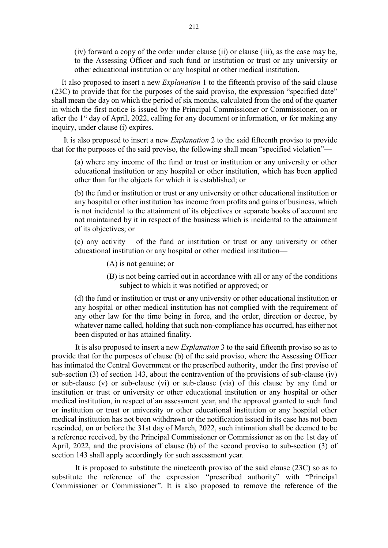(iv) forward a copy of the order under clause (ii) or clause (iii), as the case may be, to the Assessing Officer and such fund or institution or trust or any university or other educational institution or any hospital or other medical institution.

 It also proposed to insert a new Explanation 1 to the fifteenth proviso of the said clause (23C) to provide that for the purposes of the said proviso, the expression "specified date" shall mean the day on which the period of six months, calculated from the end of the quarter in which the first notice is issued by the Principal Commissioner or Commissioner, on or after the  $1<sup>st</sup>$  day of April, 2022, calling for any document or information, or for making any inquiry, under clause (i) expires.

 It is also proposed to insert a new Explanation 2 to the said fifteenth proviso to provide that for the purposes of the said proviso, the following shall mean "specified violation"––

(a) where any income of the fund or trust or institution or any university or other educational institution or any hospital or other institution, which has been applied other than for the objects for which it is established; or

(b) the fund or institution or trust or any university or other educational institution or any hospital or other institution has income from profits and gains of business, which is not incidental to the attainment of its objectives or separate books of account are not maintained by it in respect of the business which is incidental to the attainment of its objectives; or

(c) any activity of the fund or institution or trust or any university or other educational institution or any hospital or other medical institution—

- (A) is not genuine; or
- (B) is not being carried out in accordance with all or any of the conditions subject to which it was notified or approved; or

(d) the fund or institution or trust or any university or other educational institution or any hospital or other medical institution has not complied with the requirement of any other law for the time being in force, and the order, direction or decree, by whatever name called, holding that such non-compliance has occurred, has either not been disputed or has attained finality.

It is also proposed to insert a new Explanation 3 to the said fifteenth proviso so as to provide that for the purposes of clause (b) of the said proviso, where the Assessing Officer has intimated the Central Government or the prescribed authority, under the first proviso of sub-section (3) of section 143, about the contravention of the provisions of sub-clause (iv) or sub-clause (v) or sub-clause (vi) or sub-clause (via) of this clause by any fund or institution or trust or university or other educational institution or any hospital or other medical institution, in respect of an assessment year, and the approval granted to such fund or institution or trust or university or other educational institution or any hospital other medical institution has not been withdrawn or the notification issued in its case has not been rescinded, on or before the 31st day of March, 2022, such intimation shall be deemed to be a reference received, by the Principal Commissioner or Commissioner as on the 1st day of April, 2022, and the provisions of clause (b) of the second proviso to sub-section (3) of section 143 shall apply accordingly for such assessment year.

 It is proposed to substitute the nineteenth proviso of the said clause (23C) so as to substitute the reference of the expression "prescribed authority" with "Principal Commissioner or Commissioner". It is also proposed to remove the reference of the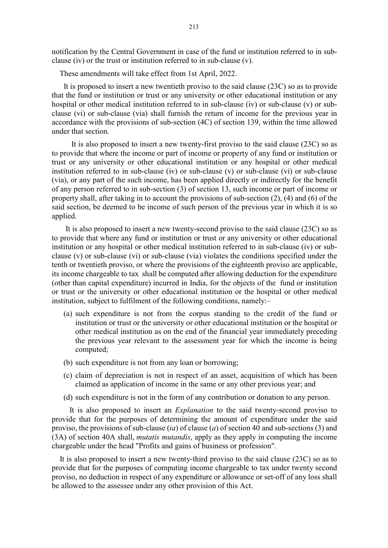notification by the Central Government in case of the fund or institution referred to in subclause (iv) or the trust or institution referred to in sub-clause (v).

These amendments will take effect from 1st April, 2022.

 It is proposed to insert a new twentieth proviso to the said clause (23C) so as to provide that the fund or institution or trust or any university or other educational institution or any hospital or other medical institution referred to in sub-clause (iv) or sub-clause (v) or subclause (vi) or sub-clause (via) shall furnish the return of income for the previous year in accordance with the provisions of sub-section (4C) of section 139, within the time allowed under that section.

 It is also proposed to insert a new twenty-first proviso to the said clause (23C) so as to provide that where the income or part of income or property of any fund or institution or trust or any university or other educational institution or any hospital or other medical institution referred to in sub-clause (iv) or sub-clause (v) or sub-clause (vi) or sub-clause (via), or any part of the such income, has been applied directly or indirectly for the benefit of any person referred to in sub-section (3) of section 13, such income or part of income or property shall, after taking in to account the provisions of sub-section (2), (4) and (6) of the said section, be deemed to be income of such person of the previous year in which it is so applied.

 It is also proposed to insert a new twenty-second proviso to the said clause (23C) so as to provide that where any fund or institution or trust or any university or other educational institution or any hospital or other medical institution referred to in sub-clause (iv) or subclause (v) or sub-clause (vi) or sub-clause (via) violates the conditions specified under the tenth or twentieth proviso, or where the provisions of the eighteenth proviso are applicable, its income chargeable to tax shall be computed after allowing deduction for the expenditure (other than capital expenditure) incurred in India, for the objects of the fund or institution or trust or the university or other educational institution or the hospital or other medical institution, subject to fulfilment of the following conditions, namely:–

- (a) such expenditure is not from the corpus standing to the credit of the fund or institution or trust or the university or other educational institution or the hospital or other medical institution as on the end of the financial year immediately preceding the previous year relevant to the assessment year for which the income is being computed;
- (b) such expenditure is not from any loan or borrowing;
- (c) claim of depreciation is not in respect of an asset, acquisition of which has been claimed as application of income in the same or any other previous year; and
- (d) such expenditure is not in the form of any contribution or donation to any person.

 It is also proposed to insert an Explanation to the said twenty-second proviso to provide that for the purposes of determining the amount of expenditure under the said proviso, the provisions of sub-clause  $(ia)$  of clause  $(a)$  of section 40 and sub-sections (3) and (3A) of section 40A shall, mutatis mutandis, apply as they apply in computing the income chargeable under the head "Profits and gains of business or profession".

 It is also proposed to insert a new twenty-third proviso to the said clause (23C) so as to provide that for the purposes of computing income chargeable to tax under twenty second proviso, no deduction in respect of any expenditure or allowance or set-off of any loss shall be allowed to the assessee under any other provision of this Act.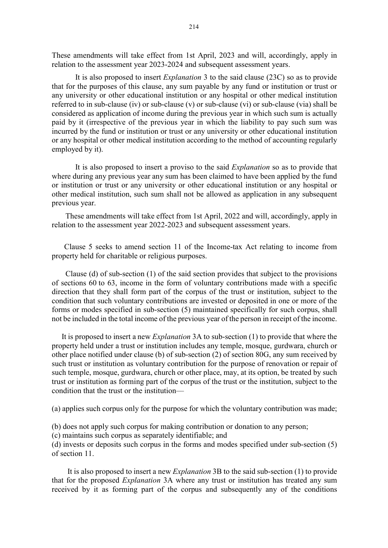These amendments will take effect from 1st April, 2023 and will, accordingly, apply in relation to the assessment year 2023-2024 and subsequent assessment years.

It is also proposed to insert Explanation 3 to the said clause (23C) so as to provide that for the purposes of this clause, any sum payable by any fund or institution or trust or any university or other educational institution or any hospital or other medical institution referred to in sub-clause (iv) or sub-clause (v) or sub-clause (vi) or sub-clause (via) shall be considered as application of income during the previous year in which such sum is actually paid by it (irrespective of the previous year in which the liability to pay such sum was incurred by the fund or institution or trust or any university or other educational institution or any hospital or other medical institution according to the method of accounting regularly employed by it).

 It is also proposed to insert a proviso to the said Explanation so as to provide that where during any previous year any sum has been claimed to have been applied by the fund or institution or trust or any university or other educational institution or any hospital or other medical institution, such sum shall not be allowed as application in any subsequent previous year.

 These amendments will take effect from 1st April, 2022 and will, accordingly, apply in relation to the assessment year 2022-2023 and subsequent assessment years.

Clause 5 seeks to amend section 11 of the Income-tax Act relating to income from property held for charitable or religious purposes.

 Clause (d) of sub-section (1) of the said section provides that subject to the provisions of sections 60 to 63, income in the form of voluntary contributions made with a specific direction that they shall form part of the corpus of the trust or institution, subject to the condition that such voluntary contributions are invested or deposited in one or more of the forms or modes specified in sub-section (5) maintained specifically for such corpus, shall not be included in the total income of the previous year of the person in receipt of the income.

 It is proposed to insert a new Explanation 3A to sub-section (1) to provide that where the property held under a trust or institution includes any temple, mosque, gurdwara, church or other place notified under clause (b) of sub-section (2) of section 80G, any sum received by such trust or institution as voluntary contribution for the purpose of renovation or repair of such temple, mosque, gurdwara, church or other place, may, at its option, be treated by such trust or institution as forming part of the corpus of the trust or the institution, subject to the condition that the trust or the institution––

(a) applies such corpus only for the purpose for which the voluntary contribution was made;

(b) does not apply such corpus for making contribution or donation to any person;

(c) maintains such corpus as separately identifiable; and

(d) invests or deposits such corpus in the forms and modes specified under sub-section (5) of section 11.

 It is also proposed to insert a new Explanation 3B to the said sub-section (1) to provide that for the proposed Explanation 3A where any trust or institution has treated any sum received by it as forming part of the corpus and subsequently any of the conditions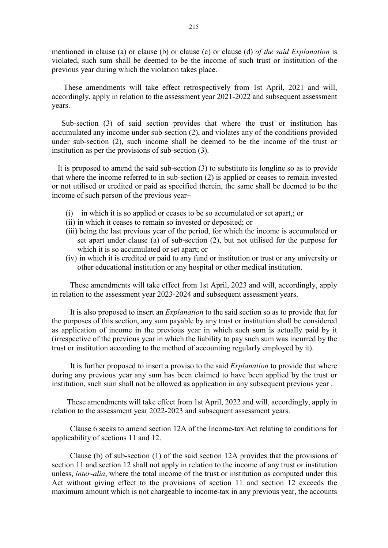mentioned in clause (a) or clause (b) or clause (c) or clause (d) of the said Explanation is violated, such sum shall be deemed to be the income of such trust or institution of the previous year during which the violation takes place.

 These amendments will take effect retrospectively from 1st April, 2021 and will, accordingly, apply in relation to the assessment year 2021-2022 and subsequent assessment years.

 Sub-section (3) of said section provides that where the trust or institution has accumulated any income under sub-section (2), and violates any of the conditions provided under sub-section (2), such income shall be deemed to be the income of the trust or institution as per the provisions of sub-section (3).

 It is proposed to amend the said sub-section (3) to substitute its longline so as to provide that where the income referred to in sub-section (2) is applied or ceases to remain invested or not utilised or credited or paid as specified therein, the same shall be deemed to be the income of such person of the previous year–

- (i) in which it is so applied or ceases to be so accumulated or set apart,; or
- (ii) in which it ceases to remain so invested or deposited; or
- (iii) being the last previous year of the period, for which the income is accumulated or set apart under clause (a) of sub-section (2), but not utilised for the purpose for which it is so accumulated or set apart; or
- (iv) in which it is credited or paid to any fund or institution or trust or any university or other educational institution or any hospital or other medical institution.

These amendments will take effect from 1st April, 2023 and will, accordingly, apply in relation to the assessment year 2023-2024 and subsequent assessment years.

It is also proposed to insert an Explanation to the said section so as to provide that for the purposes of this section, any sum payable by any trust or institution shall be considered as application of income in the previous year in which such sum is actually paid by it (irrespective of the previous year in which the liability to pay such sum was incurred by the trust or institution according to the method of accounting regularly employed by it).

It is further proposed to insert a proviso to the said *Explanation* to provide that where during any previous year any sum has been claimed to have been applied by the trust or institution, such sum shall not be allowed as application in any subsequent previous year .

These amendments will take effect from 1st April, 2022 and will, accordingly, apply in relation to the assessment year 2022-2023 and subsequent assessment years.

Clause 6 seeks to amend section 12A of the Income-tax Act relating to conditions for applicability of sections 11 and 12.

Clause (b) of sub-section (1) of the said section 12A provides that the provisions of section 11 and section 12 shall not apply in relation to the income of any trust or institution unless, *inter-alia*, where the total income of the trust or institution as computed under this Act without giving effect to the provisions of section 11 and section 12 exceeds the maximum amount which is not chargeable to income-tax in any previous year, the accounts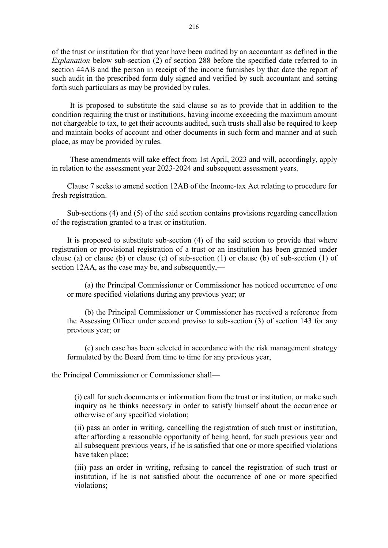of the trust or institution for that year have been audited by an accountant as defined in the Explanation below sub-section (2) of section 288 before the specified date referred to in section 44AB and the person in receipt of the income furnishes by that date the report of such audit in the prescribed form duly signed and verified by such accountant and setting forth such particulars as may be provided by rules.

It is proposed to substitute the said clause so as to provide that in addition to the condition requiring the trust or institutions, having income exceeding the maximum amount not chargeable to tax, to get their accounts audited, such trusts shall also be required to keep and maintain books of account and other documents in such form and manner and at such place, as may be provided by rules.

These amendments will take effect from 1st April, 2023 and will, accordingly, apply in relation to the assessment year 2023-2024 and subsequent assessment years.

Clause 7 seeks to amend section 12AB of the Income-tax Act relating to procedure for fresh registration.

Sub-sections (4) and (5) of the said section contains provisions regarding cancellation of the registration granted to a trust or institution.

It is proposed to substitute sub-section (4) of the said section to provide that where registration or provisional registration of a trust or an institution has been granted under clause (a) or clause (b) or clause (c) of sub-section (1) or clause (b) of sub-section (1) of section 12AA, as the case may be, and subsequently,—

(a) the Principal Commissioner or Commissioner has noticed occurrence of one or more specified violations during any previous year; or

(b) the Principal Commissioner or Commissioner has received a reference from the Assessing Officer under second proviso to sub-section (3) of section 143 for any previous year; or

(c) such case has been selected in accordance with the risk management strategy formulated by the Board from time to time for any previous year,

the Principal Commissioner or Commissioner shall—

(i) call for such documents or information from the trust or institution, or make such inquiry as he thinks necessary in order to satisfy himself about the occurrence or otherwise of any specified violation;

(ii) pass an order in writing, cancelling the registration of such trust or institution, after affording a reasonable opportunity of being heard, for such previous year and all subsequent previous years, if he is satisfied that one or more specified violations have taken place;

(iii) pass an order in writing, refusing to cancel the registration of such trust or institution, if he is not satisfied about the occurrence of one or more specified violations;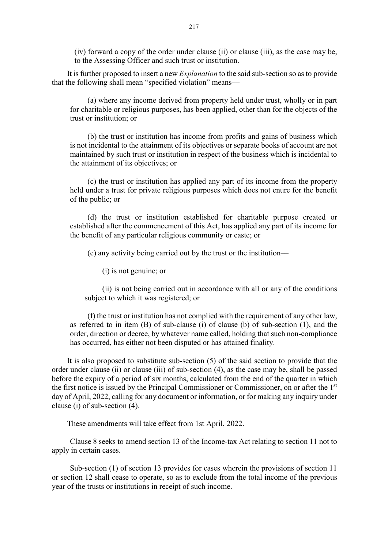(iv) forward a copy of the order under clause (ii) or clause (iii), as the case may be, to the Assessing Officer and such trust or institution.

It is further proposed to insert a new *Explanation* to the said sub-section so as to provide that the following shall mean "specified violation" means––

(a) where any income derived from property held under trust, wholly or in part for charitable or religious purposes, has been applied, other than for the objects of the trust or institution; or

(b) the trust or institution has income from profits and gains of business which is not incidental to the attainment of its objectives or separate books of account are not maintained by such trust or institution in respect of the business which is incidental to the attainment of its objectives; or

(c) the trust or institution has applied any part of its income from the property held under a trust for private religious purposes which does not enure for the benefit of the public; or

(d) the trust or institution established for charitable purpose created or established after the commencement of this Act, has applied any part of its income for the benefit of any particular religious community or caste; or

(e) any activity being carried out by the trust or the institution––

(i) is not genuine; or

(ii) is not being carried out in accordance with all or any of the conditions subject to which it was registered; or

(f) the trust or institution has not complied with the requirement of any other law, as referred to in item (B) of sub-clause (i) of clause (b) of sub-section (1), and the order, direction or decree, by whatever name called, holding that such non-compliance has occurred, has either not been disputed or has attained finality.

It is also proposed to substitute sub-section (5) of the said section to provide that the order under clause (ii) or clause (iii) of sub-section (4), as the case may be, shall be passed before the expiry of a period of six months, calculated from the end of the quarter in which the first notice is issued by the Principal Commissioner or Commissioner, on or after the 1<sup>st</sup> day of April, 2022, calling for any document or information, or for making any inquiry under clause (i) of sub-section (4).

These amendments will take effect from 1st April, 2022.

Clause 8 seeks to amend section 13 of the Income-tax Act relating to section 11 not to apply in certain cases.

Sub-section (1) of section 13 provides for cases wherein the provisions of section 11 or section 12 shall cease to operate, so as to exclude from the total income of the previous year of the trusts or institutions in receipt of such income.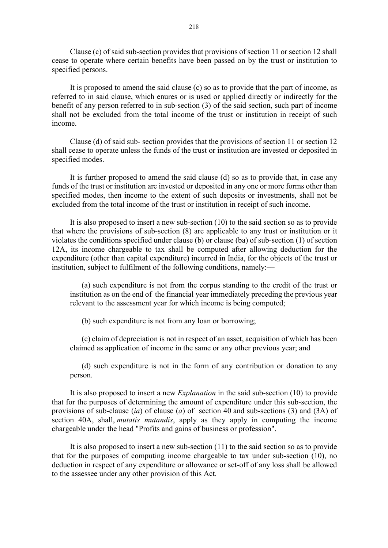Clause (c) of said sub-section provides that provisions of section 11 or section 12 shall cease to operate where certain benefits have been passed on by the trust or institution to specified persons.

It is proposed to amend the said clause (c) so as to provide that the part of income, as referred to in said clause, which enures or is used or applied directly or indirectly for the benefit of any person referred to in sub-section (3) of the said section, such part of income shall not be excluded from the total income of the trust or institution in receipt of such income.

Clause (d) of said sub- section provides that the provisions of section 11 or section 12 shall cease to operate unless the funds of the trust or institution are invested or deposited in specified modes.

It is further proposed to amend the said clause (d) so as to provide that, in case any funds of the trust or institution are invested or deposited in any one or more forms other than specified modes, then income to the extent of such deposits or investments, shall not be excluded from the total income of the trust or institution in receipt of such income.

It is also proposed to insert a new sub-section (10) to the said section so as to provide that where the provisions of sub-section (8) are applicable to any trust or institution or it violates the conditions specified under clause (b) or clause (ba) of sub-section (1) of section 12A, its income chargeable to tax shall be computed after allowing deduction for the expenditure (other than capital expenditure) incurred in India, for the objects of the trust or institution, subject to fulfilment of the following conditions, namely:—

(a) such expenditure is not from the corpus standing to the credit of the trust or institution as on the end of the financial year immediately preceding the previous year relevant to the assessment year for which income is being computed;

(b) such expenditure is not from any loan or borrowing;

(c) claim of depreciation is not in respect of an asset, acquisition of which has been claimed as application of income in the same or any other previous year; and

(d) such expenditure is not in the form of any contribution or donation to any person.

It is also proposed to insert a new Explanation in the said sub-section (10) to provide that for the purposes of determining the amount of expenditure under this sub-section, the provisions of sub-clause (ia) of clause (a) of section 40 and sub-sections (3) and (3A) of section 40A, shall, *mutatis mutandis*, apply as they apply in computing the income chargeable under the head "Profits and gains of business or profession".

It is also proposed to insert a new sub-section (11) to the said section so as to provide that for the purposes of computing income chargeable to tax under sub-section (10), no deduction in respect of any expenditure or allowance or set-off of any loss shall be allowed to the assessee under any other provision of this Act.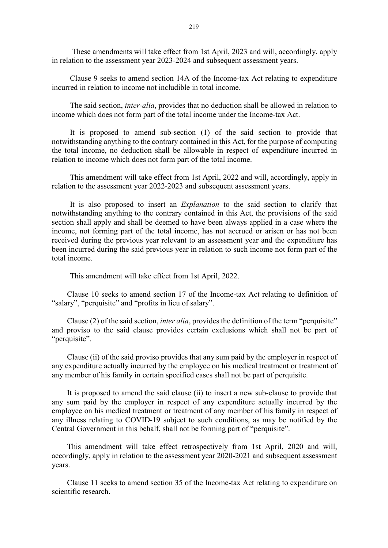These amendments will take effect from 1st April, 2023 and will, accordingly, apply in relation to the assessment year 2023-2024 and subsequent assessment years.

Clause 9 seeks to amend section 14A of the Income-tax Act relating to expenditure incurred in relation to income not includible in total income.

The said section, inter-alia, provides that no deduction shall be allowed in relation to income which does not form part of the total income under the Income-tax Act.

It is proposed to amend sub-section (1) of the said section to provide that notwithstanding anything to the contrary contained in this Act, for the purpose of computing the total income, no deduction shall be allowable in respect of expenditure incurred in relation to income which does not form part of the total income.

This amendment will take effect from 1st April, 2022 and will, accordingly, apply in relation to the assessment year 2022-2023 and subsequent assessment years.

It is also proposed to insert an Explanation to the said section to clarify that notwithstanding anything to the contrary contained in this Act, the provisions of the said section shall apply and shall be deemed to have been always applied in a case where the income, not forming part of the total income, has not accrued or arisen or has not been received during the previous year relevant to an assessment year and the expenditure has been incurred during the said previous year in relation to such income not form part of the total income.

This amendment will take effect from 1st April, 2022.

Clause 10 seeks to amend section 17 of the Income-tax Act relating to definition of "salary", "perquisite" and "profits in lieu of salary".

Clause (2) of the said section, *inter alia*, provides the definition of the term "perquisite" and proviso to the said clause provides certain exclusions which shall not be part of "perquisite".

Clause (ii) of the said proviso provides that any sum paid by the employer in respect of any expenditure actually incurred by the employee on his medical treatment or treatment of any member of his family in certain specified cases shall not be part of perquisite.

It is proposed to amend the said clause (ii) to insert a new sub-clause to provide that any sum paid by the employer in respect of any expenditure actually incurred by the employee on his medical treatment or treatment of any member of his family in respect of any illness relating to COVID-19 subject to such conditions, as may be notified by the Central Government in this behalf, shall not be forming part of "perquisite".

This amendment will take effect retrospectively from 1st April, 2020 and will, accordingly, apply in relation to the assessment year 2020-2021 and subsequent assessment years.

Clause 11 seeks to amend section 35 of the Income-tax Act relating to expenditure on scientific research.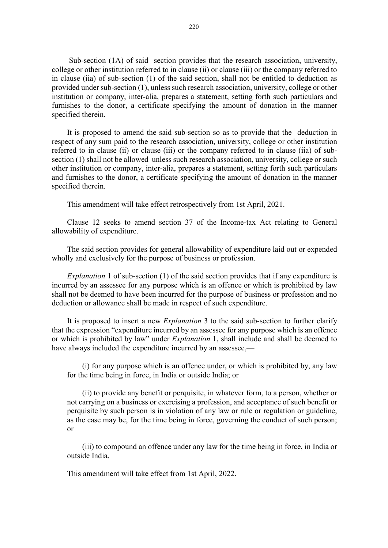Sub-section (1A) of said section provides that the research association, university, college or other institution referred to in clause (ii) or clause (iii) or the company referred to in clause (iia) of sub-section (1) of the said section, shall not be entitled to deduction as provided under sub-section (1), unless such research association, university, college or other institution or company, inter-alia, prepares a statement, setting forth such particulars and furnishes to the donor, a certificate specifying the amount of donation in the manner specified therein.

It is proposed to amend the said sub-section so as to provide that the deduction in respect of any sum paid to the research association, university, college or other institution referred to in clause (ii) or clause (iii) or the company referred to in clause (iia) of subsection (1) shall not be allowed unless such research association, university, college or such other institution or company, inter-alia, prepares a statement, setting forth such particulars and furnishes to the donor, a certificate specifying the amount of donation in the manner specified therein.

This amendment will take effect retrospectively from 1st April, 2021.

Clause 12 seeks to amend section 37 of the Income-tax Act relating to General allowability of expenditure.

The said section provides for general allowability of expenditure laid out or expended wholly and exclusively for the purpose of business or profession.

Explanation 1 of sub-section (1) of the said section provides that if any expenditure is incurred by an assessee for any purpose which is an offence or which is prohibited by law shall not be deemed to have been incurred for the purpose of business or profession and no deduction or allowance shall be made in respect of such expenditure.

It is proposed to insert a new Explanation 3 to the said sub-section to further clarify that the expression "expenditure incurred by an assessee for any purpose which is an offence or which is prohibited by law" under *Explanation* 1, shall include and shall be deemed to have always included the expenditure incurred by an assessee,—

(i) for any purpose which is an offence under, or which is prohibited by, any law for the time being in force, in India or outside India; or

(ii) to provide any benefit or perquisite, in whatever form, to a person, whether or not carrying on a business or exercising a profession, and acceptance of such benefit or perquisite by such person is in violation of any law or rule or regulation or guideline, as the case may be, for the time being in force, governing the conduct of such person; or

(iii) to compound an offence under any law for the time being in force, in India or outside India.

This amendment will take effect from 1st April, 2022.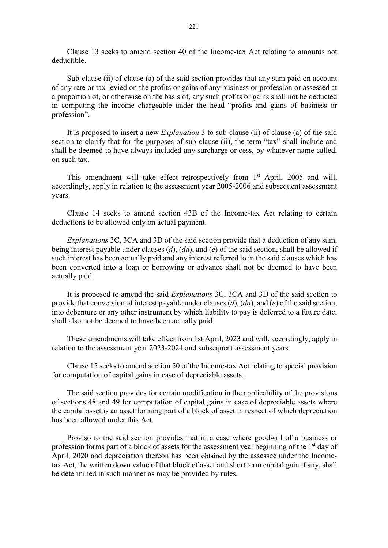Clause 13 seeks to amend section 40 of the Income-tax Act relating to amounts not deductible.

Sub-clause (ii) of clause (a) of the said section provides that any sum paid on account of any rate or tax levied on the profits or gains of any business or profession or assessed at a proportion of, or otherwise on the basis of, any such profits or gains shall not be deducted in computing the income chargeable under the head "profits and gains of business or profession".

It is proposed to insert a new Explanation 3 to sub-clause (ii) of clause (a) of the said section to clarify that for the purposes of sub-clause (ii), the term "tax" shall include and shall be deemed to have always included any surcharge or cess, by whatever name called, on such tax.

This amendment will take effect retrospectively from 1<sup>st</sup> April, 2005 and will, accordingly, apply in relation to the assessment year 2005-2006 and subsequent assessment years.

Clause 14 seeks to amend section 43B of the Income-tax Act relating to certain deductions to be allowed only on actual payment.

Explanations 3C, 3CA and 3D of the said section provide that a deduction of any sum, being interest payable under clauses  $(d)$ ,  $(da)$ , and  $(e)$  of the said section, shall be allowed if such interest has been actually paid and any interest referred to in the said clauses which has been converted into a loan or borrowing or advance shall not be deemed to have been actually paid.

It is proposed to amend the said Explanations 3C, 3CA and 3D of the said section to provide that conversion of interest payable under clauses (d),  $(da)$ , and (e) of the said section, into debenture or any other instrument by which liability to pay is deferred to a future date, shall also not be deemed to have been actually paid.

These amendments will take effect from 1st April, 2023 and will, accordingly, apply in relation to the assessment year 2023-2024 and subsequent assessment years.

Clause 15 seeks to amend section 50 of the Income-tax Act relating to special provision for computation of capital gains in case of depreciable assets.

The said section provides for certain modification in the applicability of the provisions of sections 48 and 49 for computation of capital gains in case of depreciable assets where the capital asset is an asset forming part of a block of asset in respect of which depreciation has been allowed under this Act.

Proviso to the said section provides that in a case where goodwill of a business or profession forms part of a block of assets for the assessment year beginning of the 1<sup>st</sup> day of April, 2020 and depreciation thereon has been obtained by the assessee under the Incometax Act, the written down value of that block of asset and short term capital gain if any, shall be determined in such manner as may be provided by rules.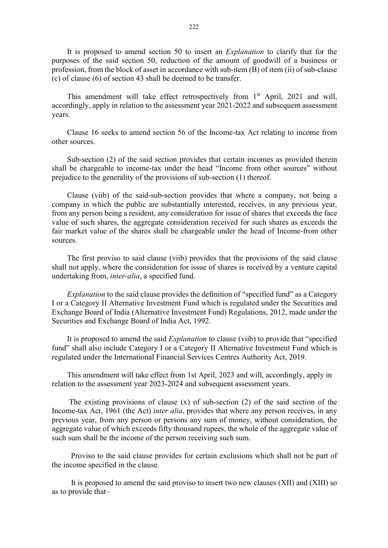It is proposed to amend section 50 to insert an Explanation to clarify that for the purposes of the said section 50, reduction of the amount of goodwill of a business or profession, from the block of asset in accordance with sub-item (B) of item (ii) of sub-clause (c) of clause (6) of section 43 shall be deemed to be transfer.

This amendment will take effect retrospectively from  $1<sup>st</sup>$  April, 2021 and will, accordingly, apply in relation to the assessment year 2021-2022 and subsequent assessment years.

Clause 16 seeks to amend section 56 of the Income-tax Act relating to income from other sources.

Sub-section (2) of the said section provides that certain incomes as provided therein shall be chargeable to income-tax under the head "Income from other sources" without prejudice to the generality of the provisions of sub-section (1) thereof.

Clause (viib) of the said-sub-section provides that where a company, not being a company in which the public are substantially interested, receives, in any previous year, from any person being a resident, any consideration for issue of shares that exceeds the face value of such shares, the aggregate consideration received for such shares as exceeds the fair market value of the shares shall be chargeable under the head of Income-from other sources.

The first proviso to said clause (viib) provides that the provisions of the said clause shall not apply, where the consideration for issue of shares is received by a venture capital undertaking from, inter-alia, a specified fund.

Explanation to the said clause provides the definition of "specified fund" as a Category I or a Category II Alternative Investment Fund which is regulated under the Securities and Exchange Board of India (Alternative Investment Fund) Regulations, 2012, made under the Securities and Exchange Board of India Act, 1992.

It is proposed to amend the said *Explanation* to clause (viib) to provide that "specified fund" shall also include Category I or a Category II Alternative Investment Fund which is regulated under the International Financial Services Centres Authority Act, 2019.

This amendment will take effect from 1st April, 2023 and will, accordingly, apply in relation to the assessment year 2023-2024 and subsequent assessment years.

The existing provisions of clause  $(x)$  of sub-section  $(2)$  of the said section of the Income-tax Act, 1961 (the Act) *inter alia*, provides that where any person receives, in any previous year, from any person or persons any sum of money, without consideration, the aggregate value of which exceeds fifty thousand rupees, the whole of the aggregate value of such sum shall be the income of the person receiving such sum.

 Proviso to the said clause provides for certain exclusions which shall not be part of the income specified in the clause.

 It is proposed to amend the said proviso to insert two new clauses (XII) and (XIII) so as to provide that–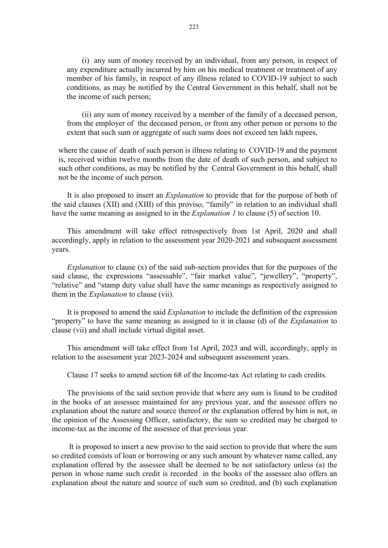(i) any sum of money received by an individual, from any person, in respect of any expenditure actually incurred by him on his medical treatment or treatment of any member of his family, in respect of any illness related to COVID-19 subject to such conditions, as may be notified by the Central Government in this behalf, shall not be the income of such person;

(ii) any sum of money received by a member of the family of a deceased person, from the employer of the deceased person, or from any other person or persons to the extent that such sum or aggregate of such sums does not exceed ten lakh rupees,

where the cause of death of such person is illness relating to COVID-19 and the payment is, received within twelve months from the date of death of such person, and subject to such other conditions, as may be notified by the Central Government in this behalf, shall not be the income of such person.

It is also proposed to insert an *Explanation* to provide that for the purpose of both of the said clauses (XII) and (XIII) of this proviso, "family" in relation to an individual shall have the same meaning as assigned to in the *Explanation 1* to clause (5) of section 10.

This amendment will take effect retrospectively from 1st April, 2020 and shall accordingly, apply in relation to the assessment year 2020-2021 and subsequent assessment years.

Explanation to clause  $(x)$  of the said sub-section provides that for the purposes of the said clause, the expressions "assessable", "fair market value", "jewellery", "property", "relative" and "stamp duty value shall have the same meanings as respectively assigned to them in the *Explanation* to clause (vii).

It is proposed to amend the said *Explanation* to include the definition of the expression "property" to have the same meaning as assigned to it in clause (d) of the *Explanation* to clause (vii) and shall include virtual digital asset.

This amendment will take effect from 1st April, 2023 and will, accordingly, apply in relation to the assessment year 2023-2024 and subsequent assessment years.

Clause 17 seeks to amend section 68 of the Income-tax Act relating to cash credits.

The provisions of the said section provide that where any sum is found to be credited in the books of an assessee maintained for any previous year, and the assessee offers no explanation about the nature and source thereof or the explanation offered by him is not, in the opinion of the Assessing Officer, satisfactory, the sum so credited may be charged to income-tax as the income of the assessee of that previous year.

 It is proposed to insert a new proviso to the said section to provide that where the sum so credited consists of loan or borrowing or any such amount by whatever name called, any explanation offered by the assessee shall be deemed to be not satisfactory unless (a) the person in whose name such credit is recorded in the books of the assessee also offers an explanation about the nature and source of such sum so credited, and (b) such explanation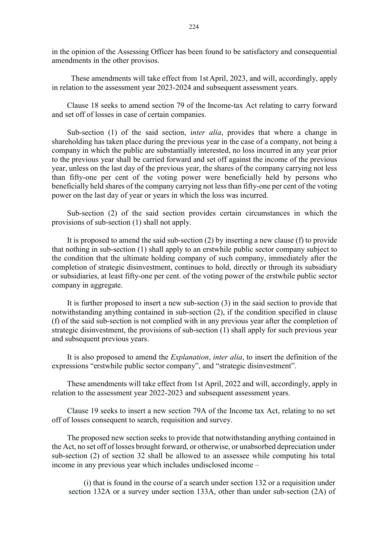in the opinion of the Assessing Officer has been found to be satisfactory and consequential amendments in the other provisos.

 These amendments will take effect from 1st April, 2023, and will, accordingly, apply in relation to the assessment year 2023-2024 and subsequent assessment years.

Clause 18 seeks to amend section 79 of the Income-tax Act relating to carry forward and set off of losses in case of certain companies.

Sub-section (1) of the said section, *inter alia*, provides that where a change in shareholding has taken place during the previous year in the case of a company, not being a company in which the public are substantially interested, no loss incurred in any year prior to the previous year shall be carried forward and set off against the income of the previous year, unless on the last day of the previous year, the shares of the company carrying not less than fifty-one per cent of the voting power were beneficially held by persons who beneficially held shares of the company carrying not less than fifty-one per cent of the voting power on the last day of year or years in which the loss was incurred.

Sub-section (2) of the said section provides certain circumstances in which the provisions of sub-section (1) shall not apply.

It is proposed to amend the said sub-section (2) by inserting a new clause (f) to provide that nothing in sub-section (1) shall apply to an erstwhile public sector company subject to the condition that the ultimate holding company of such company, immediately after the completion of strategic disinvestment, continues to hold, directly or through its subsidiary or subsidiaries, at least fifty-one per cent. of the voting power of the erstwhile public sector company in aggregate.

It is further proposed to insert a new sub-section (3) in the said section to provide that notwithstanding anything contained in sub-section (2), if the condition specified in clause (f) of the said sub-section is not complied with in any previous year after the completion of strategic disinvestment, the provisions of sub-section (1) shall apply for such previous year and subsequent previous years.

It is also proposed to amend the Explanation, inter alia, to insert the definition of the expressions "erstwhile public sector company", and "strategic disinvestment".

These amendments will take effect from 1st April, 2022 and will, accordingly, apply in relation to the assessment year 2022-2023 and subsequent assessment years.

Clause 19 seeks to insert a new section 79A of the Income tax Act, relating to no set off of losses consequent to search, requisition and survey.

The proposed new section seeks to provide that notwithstanding anything contained in the Act, no set off of losses brought forward, or otherwise, or unabsorbed depreciation under sub-section (2) of section 32 shall be allowed to an assessee while computing his total income in any previous year which includes undisclosed income –

(i) that is found in the course of a search under section 132 or a requisition under section 132A or a survey under section 133A, other than under sub-section (2A) of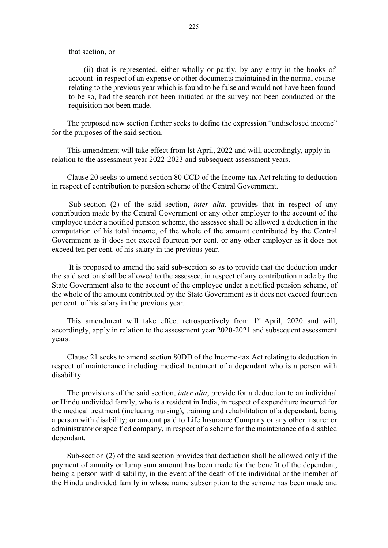that section, or

(ii) that is represented, either wholly or partly, by any entry in the books of account in respect of an expense or other documents maintained in the normal course relating to the previous year which is found to be false and would not have been found to be so, had the search not been initiated or the survey not been conducted or the requisition not been made.

The proposed new section further seeks to define the expression "undisclosed income" for the purposes of the said section.

This amendment will take effect from lst April, 2022 and will, accordingly, apply in relation to the assessment year 2022-2023 and subsequent assessment years.

Clause 20 seeks to amend section 80 CCD of the Income-tax Act relating to deduction in respect of contribution to pension scheme of the Central Government.

Sub-section (2) of the said section, *inter alia*, provides that in respect of any contribution made by the Central Government or any other employer to the account of the employee under a notified pension scheme, the assessee shall be allowed a deduction in the computation of his total income, of the whole of the amount contributed by the Central Government as it does not exceed fourteen per cent. or any other employer as it does not exceed ten per cent. of his salary in the previous year.

 It is proposed to amend the said sub-section so as to provide that the deduction under the said section shall be allowed to the assessee, in respect of any contribution made by the State Government also to the account of the employee under a notified pension scheme, of the whole of the amount contributed by the State Government as it does not exceed fourteen per cent. of his salary in the previous year.

This amendment will take effect retrospectively from 1<sup>st</sup> April, 2020 and will, accordingly, apply in relation to the assessment year 2020-2021 and subsequent assessment years.

Clause 21 seeks to amend section 80DD of the Income-tax Act relating to deduction in respect of maintenance including medical treatment of a dependant who is a person with disability.

The provisions of the said section, *inter alia*, provide for a deduction to an individual or Hindu undivided family, who is a resident in India, in respect of expenditure incurred for the medical treatment (including nursing), training and rehabilitation of a dependant, being a person with disability; or amount paid to Life Insurance Company or any other insurer or administrator or specified company, in respect of a scheme for the maintenance of a disabled dependant.

Sub-section (2) of the said section provides that deduction shall be allowed only if the payment of annuity or lump sum amount has been made for the benefit of the dependant, being a person with disability, in the event of the death of the individual or the member of the Hindu undivided family in whose name subscription to the scheme has been made and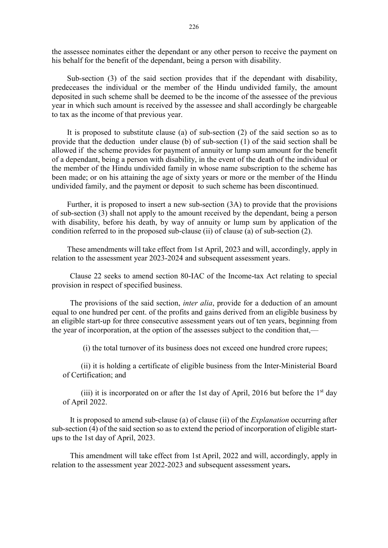the assessee nominates either the dependant or any other person to receive the payment on his behalf for the benefit of the dependant, being a person with disability.

Sub-section (3) of the said section provides that if the dependant with disability, predeceases the individual or the member of the Hindu undivided family, the amount deposited in such scheme shall be deemed to be the income of the assessee of the previous year in which such amount is received by the assessee and shall accordingly be chargeable to tax as the income of that previous year.

It is proposed to substitute clause (a) of sub-section (2) of the said section so as to provide that the deduction under clause (b) of sub-section (1) of the said section shall be allowed if the scheme provides for payment of annuity or lump sum amount for the benefit of a dependant, being a person with disability, in the event of the death of the individual or the member of the Hindu undivided family in whose name subscription to the scheme has been made; or on his attaining the age of sixty years or more or the member of the Hindu undivided family, and the payment or deposit to such scheme has been discontinued.

Further, it is proposed to insert a new sub-section (3A) to provide that the provisions of sub-section (3) shall not apply to the amount received by the dependant, being a person with disability, before his death, by way of annuity or lump sum by application of the condition referred to in the proposed sub-clause (ii) of clause (a) of sub-section (2).

These amendments will take effect from 1st April, 2023 and will, accordingly, apply in relation to the assessment year 2023-2024 and subsequent assessment years.

Clause 22 seeks to amend section 80-IAC of the Income-tax Act relating to special provision in respect of specified business.

The provisions of the said section, *inter alia*, provide for a deduction of an amount equal to one hundred per cent. of the profits and gains derived from an eligible business by an eligible start-up for three consecutive assessment years out of ten years, beginning from the year of incorporation, at the option of the assesses subject to the condition that,—

(i) the total turnover of its business does not exceed one hundred crore rupees;

(ii) it is holding a certificate of eligible business from the Inter-Ministerial Board of Certification; and

(iii) it is incorporated on or after the 1st day of April, 2016 but before the  $1<sup>st</sup>$  day of April 2022.

It is proposed to amend sub-clause (a) of clause (ii) of the *Explanation* occurring after sub-section (4) of the said section so as to extend the period of incorporation of eligible startups to the 1st day of April, 2023.

This amendment will take effect from 1st April, 2022 and will, accordingly, apply in relation to the assessment year 2022-2023 and subsequent assessment years.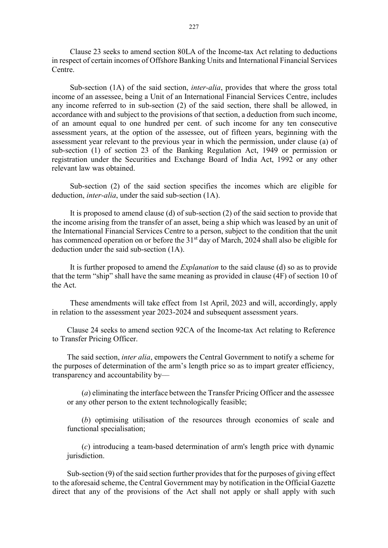Clause 23 seeks to amend section 80LA of the Income-tax Act relating to deductions in respect of certain incomes of Offshore Banking Units and International Financial Services Centre.

Sub-section (1A) of the said section, *inter-alia*, provides that where the gross total income of an assessee, being a Unit of an International Financial Services Centre, includes any income referred to in sub-section (2) of the said section, there shall be allowed, in accordance with and subject to the provisions of that section, a deduction from such income, of an amount equal to one hundred per cent. of such income for any ten consecutive assessment years, at the option of the assessee, out of fifteen years, beginning with the assessment year relevant to the previous year in which the permission, under clause (a) of sub-section (1) of section 23 of the Banking Regulation Act, 1949 or permission or registration under the Securities and Exchange Board of India Act, 1992 or any other relevant law was obtained.

Sub-section (2) of the said section specifies the incomes which are eligible for deduction, *inter-alia*, under the said sub-section (1A).

It is proposed to amend clause (d) of sub-section (2) of the said section to provide that the income arising from the transfer of an asset, being a ship which was leased by an unit of the International Financial Services Centre to a person, subject to the condition that the unit has commenced operation on or before the 31<sup>st</sup> day of March, 2024 shall also be eligible for deduction under the said sub-section (1A).

It is further proposed to amend the *Explanation* to the said clause (d) so as to provide that the term "ship" shall have the same meaning as provided in clause (4F) of section 10 of the Act.

These amendments will take effect from 1st April, 2023 and will, accordingly, apply in relation to the assessment year 2023-2024 and subsequent assessment years.

Clause 24 seeks to amend section 92CA of the Income-tax Act relating to Reference to Transfer Pricing Officer.

The said section, inter alia, empowers the Central Government to notify a scheme for the purposes of determination of the arm's length price so as to impart greater efficiency, transparency and accountability by––

(a) eliminating the interface between the Transfer Pricing Officer and the assessee or any other person to the extent technologically feasible;

(b) optimising utilisation of the resources through economies of scale and functional specialisation;

(c) introducing a team-based determination of arm's length price with dynamic jurisdiction.

Sub-section (9) of the said section further provides that for the purposes of giving effect to the aforesaid scheme, the Central Government may by notification in the Official Gazette direct that any of the provisions of the Act shall not apply or shall apply with such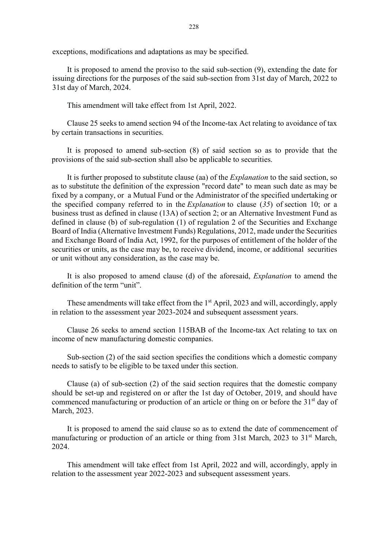exceptions, modifications and adaptations as may be specified.

It is proposed to amend the proviso to the said sub-section (9), extending the date for issuing directions for the purposes of the said sub-section from 31st day of March, 2022 to 31st day of March, 2024.

This amendment will take effect from 1st April, 2022.

Clause 25 seeks to amend section 94 of the Income-tax Act relating to avoidance of tax by certain transactions in securities.

It is proposed to amend sub-section (8) of said section so as to provide that the provisions of the said sub-section shall also be applicable to securities.

It is further proposed to substitute clause (aa) of the Explanation to the said section, so as to substitute the definition of the expression "record date" to mean such date as may be fixed by a company, or a Mutual Fund or the Administrator of the specified undertaking or the specified company referred to in the *Explanation* to clause  $(35)$  of section 10; or a business trust as defined in clause (13A) of section 2; or an Alternative Investment Fund as defined in clause (b) of sub-regulation (1) of regulation 2 of the Securities and Exchange Board of India (Alternative Investment Funds) Regulations, 2012, made under the Securities and Exchange Board of India Act, 1992, for the purposes of entitlement of the holder of the securities or units, as the case may be, to receive dividend, income, or additional securities or unit without any consideration, as the case may be.

It is also proposed to amend clause (d) of the aforesaid, Explanation to amend the definition of the term "unit".

These amendments will take effect from the  $1<sup>st</sup>$  April, 2023 and will, accordingly, apply in relation to the assessment year 2023-2024 and subsequent assessment years.

Clause 26 seeks to amend section 115BAB of the Income-tax Act relating to tax on income of new manufacturing domestic companies.

Sub-section (2) of the said section specifies the conditions which a domestic company needs to satisfy to be eligible to be taxed under this section.

Clause (a) of sub-section (2) of the said section requires that the domestic company should be set-up and registered on or after the 1st day of October, 2019, and should have commenced manufacturing or production of an article or thing on or before the 31<sup>st</sup> day of March, 2023.

It is proposed to amend the said clause so as to extend the date of commencement of manufacturing or production of an article or thing from 31st March, 2023 to 31<sup>st</sup> March, 2024.

This amendment will take effect from 1st April, 2022 and will, accordingly, apply in relation to the assessment year 2022-2023 and subsequent assessment years.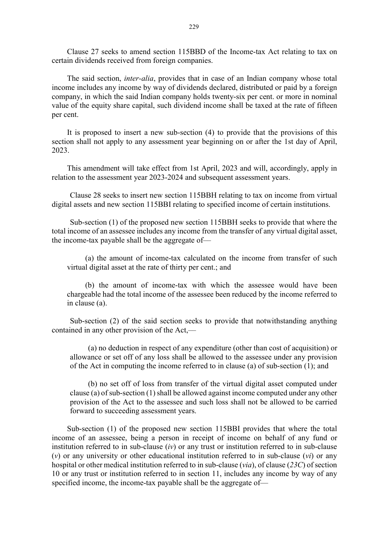Clause 27 seeks to amend section 115BBD of the Income-tax Act relating to tax on certain dividends received from foreign companies.

The said section, inter-alia, provides that in case of an Indian company whose total income includes any income by way of dividends declared, distributed or paid by a foreign company, in which the said Indian company holds twenty-six per cent. or more in nominal value of the equity share capital, such dividend income shall be taxed at the rate of fifteen per cent.

It is proposed to insert a new sub-section (4) to provide that the provisions of this section shall not apply to any assessment year beginning on or after the 1st day of April, 2023.

This amendment will take effect from 1st April, 2023 and will, accordingly, apply in relation to the assessment year 2023-2024 and subsequent assessment years.

Clause 28 seeks to insert new section 115BBH relating to tax on income from virtual digital assets and new section 115BBI relating to specified income of certain institutions.

Sub-section (1) of the proposed new section 115BBH seeks to provide that where the total income of an assessee includes any income from the transfer of any virtual digital asset, the income-tax payable shall be the aggregate of-

(a) the amount of income-tax calculated on the income from transfer of such virtual digital asset at the rate of thirty per cent.; and

(b) the amount of income-tax with which the assessee would have been chargeable had the total income of the assessee been reduced by the income referred to in clause (a).

Sub-section (2) of the said section seeks to provide that notwithstanding anything contained in any other provision of the Act,—

(a) no deduction in respect of any expenditure (other than cost of acquisition) or allowance or set off of any loss shall be allowed to the assessee under any provision of the Act in computing the income referred to in clause (a) of sub-section (1); and

(b) no set off of loss from transfer of the virtual digital asset computed under clause (a) of sub-section (1) shall be allowed against income computed under any other provision of the Act to the assessee and such loss shall not be allowed to be carried forward to succeeding assessment years.

Sub-section (1) of the proposed new section 115BBI provides that where the total income of an assessee, being a person in receipt of income on behalf of any fund or institution referred to in sub-clause  $(iv)$  or any trust or institution referred to in sub-clause (v) or any university or other educational institution referred to in sub-clause  $(vi)$  or any hospital or other medical institution referred to in sub-clause (via), of clause (23C) of section 10 or any trust or institution referred to in section 11, includes any income by way of any specified income, the income-tax payable shall be the aggregate of—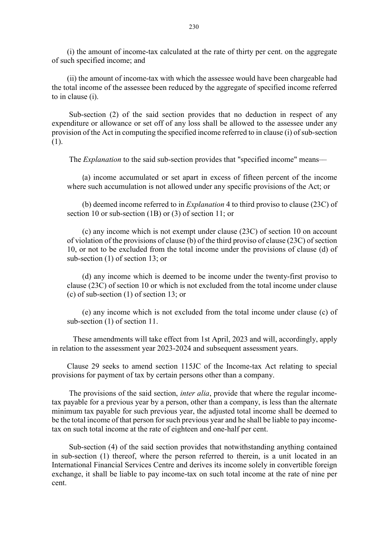(i) the amount of income-tax calculated at the rate of thirty per cent. on the aggregate of such specified income; and

(ii) the amount of income-tax with which the assessee would have been chargeable had the total income of the assessee been reduced by the aggregate of specified income referred to in clause (i).

 Sub-section (2) of the said section provides that no deduction in respect of any expenditure or allowance or set off of any loss shall be allowed to the assessee under any provision of the Act in computing the specified income referred to in clause (i) of sub-section (1).

The *Explanation* to the said sub-section provides that "specified income" means—

(a) income accumulated or set apart in excess of fifteen percent of the income where such accumulation is not allowed under any specific provisions of the Act; or

(b) deemed income referred to in Explanation 4 to third proviso to clause (23C) of section 10 or sub-section (1B) or (3) of section 11; or

(c) any income which is not exempt under clause (23C) of section 10 on account of violation of the provisions of clause (b) of the third proviso of clause (23C) of section 10, or not to be excluded from the total income under the provisions of clause (d) of sub-section (1) of section 13; or

(d) any income which is deemed to be income under the twenty-first proviso to clause (23C) of section 10 or which is not excluded from the total income under clause (c) of sub-section (1) of section 13; or

(e) any income which is not excluded from the total income under clause (c) of sub-section (1) of section 11.

 These amendments will take effect from 1st April, 2023 and will, accordingly, apply in relation to the assessment year 2023-2024 and subsequent assessment years.

Clause 29 seeks to amend section 115JC of the Income-tax Act relating to special provisions for payment of tax by certain persons other than a company.

The provisions of the said section, *inter alia*, provide that where the regular incometax payable for a previous year by a person, other than a company, is less than the alternate minimum tax payable for such previous year, the adjusted total income shall be deemed to be the total income of that person for such previous year and he shall be liable to pay incometax on such total income at the rate of eighteen and one-half per cent.

 Sub-section (4) of the said section provides that notwithstanding anything contained in sub-section (1) thereof, where the person referred to therein, is a unit located in an International Financial Services Centre and derives its income solely in convertible foreign exchange, it shall be liable to pay income-tax on such total income at the rate of nine per cent.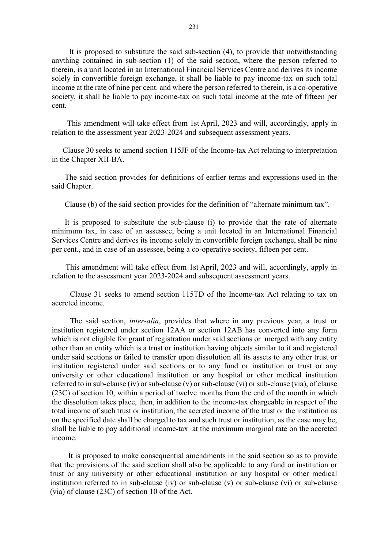It is proposed to substitute the said sub-section (4), to provide that notwithstanding anything contained in sub-section (1) of the said section, where the person referred to therein, is a unit located in an International Financial Services Centre and derives its income solely in convertible foreign exchange, it shall be liable to pay income-tax on such total income at the rate of nine per cent. and where the person referred to therein, is a co-operative society, it shall be liable to pay income-tax on such total income at the rate of fifteen per cent.

This amendment will take effect from 1st April, 2023 and will, accordingly, apply in relation to the assessment year 2023-2024 and subsequent assessment years.

Clause 30 seeks to amend section 115JF of the Income-tax Act relating to interpretation in the Chapter XII-BA.

 The said section provides for definitions of earlier terms and expressions used in the said Chapter.

Clause (b) of the said section provides for the definition of "alternate minimum tax".

 It is proposed to substitute the sub-clause (i) to provide that the rate of alternate minimum tax, in case of an assessee, being a unit located in an International Financial Services Centre and derives its income solely in convertible foreign exchange, shall be nine per cent., and in case of an assessee, being a co-operative society, fifteen per cent.

 This amendment will take effect from 1st April, 2023 and will, accordingly, apply in relation to the assessment year 2023-2024 and subsequent assessment years.

Clause 31 seeks to amend section 115TD of the Income-tax Act relating to tax on accreted income.

The said section, inter-alia, provides that where in any previous year, a trust or institution registered under section 12AA or section 12AB has converted into any form which is not eligible for grant of registration under said sections or merged with any entity other than an entity which is a trust or institution having objects similar to it and registered under said sections or failed to transfer upon dissolution all its assets to any other trust or institution registered under said sections or to any fund or institution or trust or any university or other educational institution or any hospital or other medical institution referred to in sub-clause (iv) or sub-clause (v) or sub-clause (vi) or sub-clause (via), of clause (23C) of section 10, within a period of twelve months from the end of the month in which the dissolution takes place, then, in addition to the income-tax chargeable in respect of the total income of such trust or institution, the accreted income of the trust or the institution as on the specified date shall be charged to tax and such trust or institution, as the case may be, shall be liable to pay additional income-tax at the maximum marginal rate on the accreted income.

It is proposed to make consequential amendments in the said section so as to provide that the provisions of the said section shall also be applicable to any fund or institution or trust or any university or other educational institution or any hospital or other medical institution referred to in sub-clause (iv) or sub-clause (v) or sub-clause (vi) or sub-clause (via) of clause (23C) of section 10 of the Act.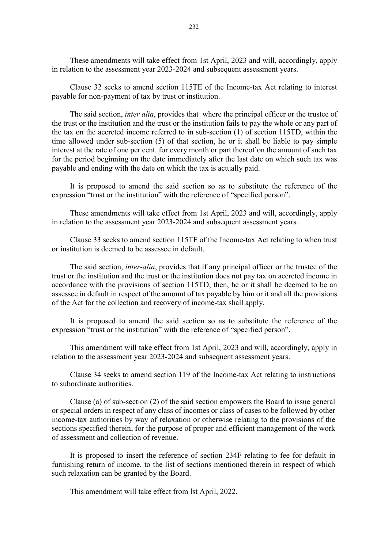These amendments will take effect from 1st April, 2023 and will, accordingly, apply in relation to the assessment year 2023-2024 and subsequent assessment years.

Clause 32 seeks to amend section 115TE of the Income-tax Act relating to interest payable for non-payment of tax by trust or institution.

The said section, *inter alia*, provides that where the principal officer or the trustee of the trust or the institution and the trust or the institution fails to pay the whole or any part of the tax on the accreted income referred to in sub-section (1) of section 115TD, within the time allowed under sub-section (5) of that section, he or it shall be liable to pay simple interest at the rate of one per cent. for every month or part thereof on the amount of such tax for the period beginning on the date immediately after the last date on which such tax was payable and ending with the date on which the tax is actually paid.

It is proposed to amend the said section so as to substitute the reference of the expression "trust or the institution" with the reference of "specified person".

These amendments will take effect from 1st April, 2023 and will, accordingly, apply in relation to the assessment year 2023-2024 and subsequent assessment years.

Clause 33 seeks to amend section 115TF of the Income-tax Act relating to when trust or institution is deemed to be assessee in default.

The said section, inter-alia, provides that if any principal officer or the trustee of the trust or the institution and the trust or the institution does not pay tax on accreted income in accordance with the provisions of section 115TD, then, he or it shall be deemed to be an assessee in default in respect of the amount of tax payable by him or it and all the provisions of the Act for the collection and recovery of income-tax shall apply.

It is proposed to amend the said section so as to substitute the reference of the expression "trust or the institution" with the reference of "specified person".

This amendment will take effect from 1st April, 2023 and will, accordingly, apply in relation to the assessment year 2023-2024 and subsequent assessment years.

Clause 34 seeks to amend section 119 of the Income-tax Act relating to instructions to subordinate authorities.

Clause (a) of sub-section (2) of the said section empowers the Board to issue general or special orders in respect of any class of incomes or class of cases to be followed by other income-tax authorities by way of relaxation or otherwise relating to the provisions of the sections specified therein, for the purpose of proper and efficient management of the work of assessment and collection of revenue.

It is proposed to insert the reference of section 234F relating to fee for default in furnishing return of income, to the list of sections mentioned therein in respect of which such relaxation can be granted by the Board.

This amendment will take effect from lst April, 2022.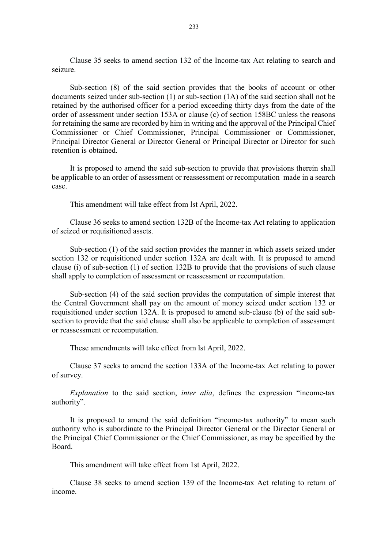Clause 35 seeks to amend section 132 of the Income-tax Act relating to search and seizure.

Sub-section (8) of the said section provides that the books of account or other documents seized under sub-section (1) or sub-section (1A) of the said section shall not be retained by the authorised officer for a period exceeding thirty days from the date of the order of assessment under section 153A or clause (c) of section 158BC unless the reasons for retaining the same are recorded by him in writing and the approval of the Principal Chief Commissioner or Chief Commissioner, Principal Commissioner or Commissioner, Principal Director General or Director General or Principal Director or Director for such retention is obtained.

It is proposed to amend the said sub-section to provide that provisions therein shall be applicable to an order of assessment or reassessment or recomputation made in a search case.

This amendment will take effect from lst April, 2022.

Clause 36 seeks to amend section 132B of the Income-tax Act relating to application of seized or requisitioned assets.

Sub-section (1) of the said section provides the manner in which assets seized under section 132 or requisitioned under section 132A are dealt with. It is proposed to amend clause (i) of sub-section (1) of section 132B to provide that the provisions of such clause shall apply to completion of assessment or reassessment or recomputation.

Sub-section (4) of the said section provides the computation of simple interest that the Central Government shall pay on the amount of money seized under section 132 or requisitioned under section 132A. It is proposed to amend sub-clause (b) of the said subsection to provide that the said clause shall also be applicable to completion of assessment or reassessment or recomputation.

These amendments will take effect from lst April, 2022.

Clause 37 seeks to amend the section 133A of the Income-tax Act relating to power of survey.

Explanation to the said section, inter alia, defines the expression "income-tax authority".

It is proposed to amend the said definition "income-tax authority" to mean such authority who is subordinate to the Principal Director General or the Director General or the Principal Chief Commissioner or the Chief Commissioner, as may be specified by the Board.

This amendment will take effect from 1st April, 2022.

Clause 38 seeks to amend section 139 of the Income-tax Act relating to return of income.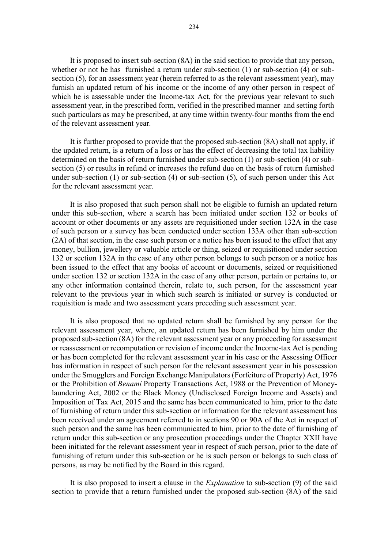It is proposed to insert sub-section (8A) in the said section to provide that any person, whether or not he has furnished a return under sub-section (1) or sub-section (4) or subsection (5), for an assessment year (herein referred to as the relevant assessment year), may furnish an updated return of his income or the income of any other person in respect of which he is assessable under the Income-tax Act, for the previous year relevant to such assessment year, in the prescribed form, verified in the prescribed manner and setting forth such particulars as may be prescribed, at any time within twenty-four months from the end of the relevant assessment year.

It is further proposed to provide that the proposed sub-section (8A) shall not apply, if the updated return, is a return of a loss or has the effect of decreasing the total tax liability determined on the basis of return furnished under sub-section (1) or sub-section (4) or subsection (5) or results in refund or increases the refund due on the basis of return furnished under sub-section (1) or sub-section (4) or sub-section (5), of such person under this Act for the relevant assessment year.

It is also proposed that such person shall not be eligible to furnish an updated return under this sub-section, where a search has been initiated under section 132 or books of account or other documents or any assets are requisitioned under section 132A in the case of such person or a survey has been conducted under section 133A other than sub-section (2A) of that section, in the case such person or a notice has been issued to the effect that any money, bullion, jewellery or valuable article or thing, seized or requisitioned under section 132 or section 132A in the case of any other person belongs to such person or a notice has been issued to the effect that any books of account or documents, seized or requisitioned under section 132 or section 132A in the case of any other person, pertain or pertains to, or any other information contained therein, relate to, such person, for the assessment year relevant to the previous year in which such search is initiated or survey is conducted or requisition is made and two assessment years preceding such assessment year.

It is also proposed that no updated return shall be furnished by any person for the relevant assessment year, where, an updated return has been furnished by him under the proposed sub-section (8A) for the relevant assessment year or any proceeding for assessment or reassessment or recomputation or revision of income under the Income-tax Act is pending or has been completed for the relevant assessment year in his case or the Assessing Officer has information in respect of such person for the relevant assessment year in his possession under the Smugglers and Foreign Exchange Manipulators (Forfeiture of Property) Act, 1976 or the Prohibition of Benami Property Transactions Act, 1988 or the Prevention of Moneylaundering Act, 2002 or the Black Money (Undisclosed Foreign Income and Assets) and Imposition of Tax Act, 2015 and the same has been communicated to him, prior to the date of furnishing of return under this sub-section or information for the relevant assessment has been received under an agreement referred to in sections 90 or 90A of the Act in respect of such person and the same has been communicated to him, prior to the date of furnishing of return under this sub-section or any prosecution proceedings under the Chapter XXII have been initiated for the relevant assessment year in respect of such person, prior to the date of furnishing of return under this sub-section or he is such person or belongs to such class of persons, as may be notified by the Board in this regard.

It is also proposed to insert a clause in the Explanation to sub-section (9) of the said section to provide that a return furnished under the proposed sub-section (8A) of the said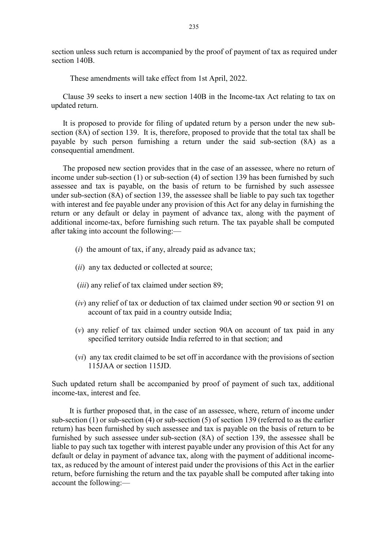section unless such return is accompanied by the proof of payment of tax as required under section 140B.

These amendments will take effect from 1st April, 2022.

Clause 39 seeks to insert a new section 140B in the Income-tax Act relating to tax on updated return.

It is proposed to provide for filing of updated return by a person under the new subsection (8A) of section 139. It is, therefore, proposed to provide that the total tax shall be payable by such person furnishing a return under the said sub-section (8A) as a consequential amendment.

The proposed new section provides that in the case of an assessee, where no return of income under sub-section (1) or sub-section (4) of section 139 has been furnished by such assessee and tax is payable, on the basis of return to be furnished by such assessee under sub-section (8A) of section 139, the assessee shall be liable to pay such tax together with interest and fee payable under any provision of this Act for any delay in furnishing the return or any default or delay in payment of advance tax, along with the payment of additional income-tax, before furnishing such return. The tax payable shall be computed after taking into account the following:––

- $(i)$  the amount of tax, if any, already paid as advance tax;
- (*ii*) any tax deducted or collected at source;
- (*iii*) any relief of tax claimed under section 89;
- (iv) any relief of tax or deduction of tax claimed under section 90 or section 91 on account of tax paid in a country outside India;
- (v) any relief of tax claimed under section 90A on account of tax paid in any specified territory outside India referred to in that section; and
- (vi) any tax credit claimed to be set off in accordance with the provisions of section 115JAA or section 115JD.

Such updated return shall be accompanied by proof of payment of such tax, additional income-tax, interest and fee.

It is further proposed that, in the case of an assessee, where, return of income under sub-section (1) or sub-section (4) or sub-section (5) of section 139 (referred to as the earlier return) has been furnished by such assessee and tax is payable on the basis of return to be furnished by such assessee under sub-section (8A) of section 139, the assessee shall be liable to pay such tax together with interest payable under any provision of this Act for any default or delay in payment of advance tax, along with the payment of additional incometax, as reduced by the amount of interest paid under the provisions of this Act in the earlier return, before furnishing the return and the tax payable shall be computed after taking into account the following:––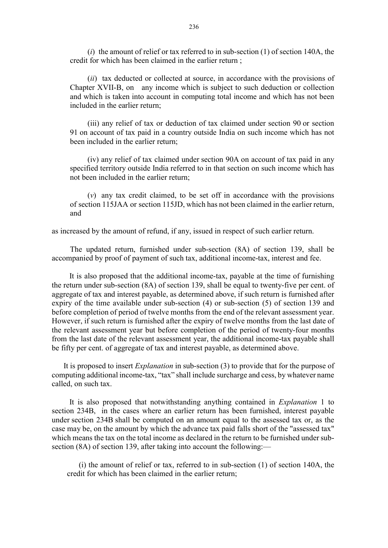(i) the amount of relief or tax referred to in sub-section  $(1)$  of section 140A, the credit for which has been claimed in the earlier return ;

(ii) tax deducted or collected at source, in accordance with the provisions of Chapter XVII-B, on any income which is subject to such deduction or collection and which is taken into account in computing total income and which has not been included in the earlier return;

(iii) any relief of tax or deduction of tax claimed under section 90 or section 91 on account of tax paid in a country outside India on such income which has not been included in the earlier return;

(iv) any relief of tax claimed under section 90A on account of tax paid in any specified territory outside India referred to in that section on such income which has not been included in the earlier return;

(v) any tax credit claimed, to be set off in accordance with the provisions of section 115JAA or section 115JD, which has not been claimed in the earlier return, and

as increased by the amount of refund, if any, issued in respect of such earlier return.

The updated return, furnished under sub-section (8A) of section 139, shall be accompanied by proof of payment of such tax, additional income-tax, interest and fee.

It is also proposed that the additional income-tax, payable at the time of furnishing the return under sub-section (8A) of section 139, shall be equal to twenty-five per cent. of aggregate of tax and interest payable, as determined above, if such return is furnished after expiry of the time available under sub-section (4) or sub-section (5) of section 139 and before completion of period of twelve months from the end of the relevant assessment year. However, if such return is furnished after the expiry of twelve months from the last date of the relevant assessment year but before completion of the period of twenty-four months from the last date of the relevant assessment year, the additional income-tax payable shall be fifty per cent. of aggregate of tax and interest payable, as determined above.

It is proposed to insert *Explanation* in sub-section (3) to provide that for the purpose of computing additional income-tax, "tax" shall include surcharge and cess, by whatever name called, on such tax.

It is also proposed that notwithstanding anything contained in Explanation 1 to section 234B, in the cases where an earlier return has been furnished, interest payable under section 234B shall be computed on an amount equal to the assessed tax or, as the case may be, on the amount by which the advance tax paid falls short of the "assessed tax" which means the tax on the total income as declared in the return to be furnished under subsection (8A) of section 139, after taking into account the following:—

(i) the amount of relief or tax, referred to in sub-section (1) of section 140A, the credit for which has been claimed in the earlier return;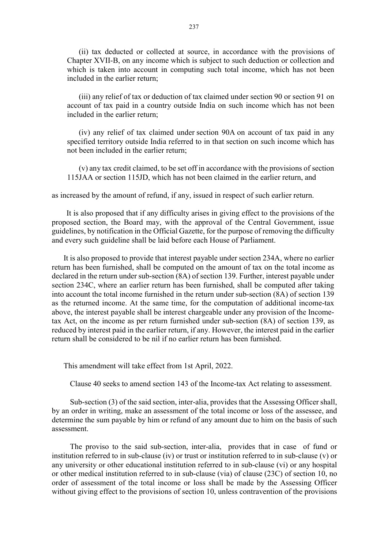(ii) tax deducted or collected at source, in accordance with the provisions of Chapter XVII-B, on any income which is subject to such deduction or collection and which is taken into account in computing such total income, which has not been included in the earlier return;

(iii) any relief of tax or deduction of tax claimed under section 90 or section 91 on account of tax paid in a country outside India on such income which has not been included in the earlier return;

(iv) any relief of tax claimed under section 90A on account of tax paid in any specified territory outside India referred to in that section on such income which has not been included in the earlier return;

(v) any tax credit claimed, to be set off in accordance with the provisions of section 115JAA or section 115JD, which has not been claimed in the earlier return, and

as increased by the amount of refund, if any, issued in respect of such earlier return.

It is also proposed that if any difficulty arises in giving effect to the provisions of the proposed section, the Board may, with the approval of the Central Government, issue guidelines, by notification in the Official Gazette, for the purpose of removing the difficulty and every such guideline shall be laid before each House of Parliament.

It is also proposed to provide that interest payable under section 234A, where no earlier return has been furnished, shall be computed on the amount of tax on the total income as declared in the return under sub-section (8A) of section 139. Further, interest payable under section 234C, where an earlier return has been furnished, shall be computed after taking into account the total income furnished in the return under sub-section (8A) of section 139 as the returned income. At the same time, for the computation of additional income-tax above, the interest payable shall be interest chargeable under any provision of the Incometax Act, on the income as per return furnished under sub-section (8A) of section 139, as reduced by interest paid in the earlier return, if any. However, the interest paid in the earlier return shall be considered to be nil if no earlier return has been furnished.

This amendment will take effect from 1st April, 2022.

Clause 40 seeks to amend section 143 of the Income-tax Act relating to assessment.

Sub-section (3) of the said section, inter-alia, provides that the Assessing Officer shall, by an order in writing, make an assessment of the total income or loss of the assessee, and determine the sum payable by him or refund of any amount due to him on the basis of such assessment.

The proviso to the said sub-section, inter-alia, provides that in case of fund or institution referred to in sub-clause (iv) or trust or institution referred to in sub-clause (v) or any university or other educational institution referred to in sub-clause (vi) or any hospital or other medical institution referred to in sub-clause (via) of clause (23C) of section 10, no order of assessment of the total income or loss shall be made by the Assessing Officer without giving effect to the provisions of section 10, unless contravention of the provisions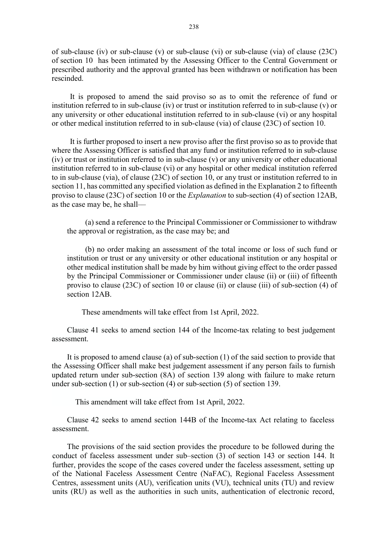of sub-clause (iv) or sub-clause (v) or sub-clause (vi) or sub-clause (via) of clause (23C) of section 10 has been intimated by the Assessing Officer to the Central Government or prescribed authority and the approval granted has been withdrawn or notification has been rescinded.

It is proposed to amend the said proviso so as to omit the reference of fund or institution referred to in sub-clause (iv) or trust or institution referred to in sub-clause (v) or any university or other educational institution referred to in sub-clause (vi) or any hospital or other medical institution referred to in sub-clause (via) of clause (23C) of section 10.

It is further proposed to insert a new proviso after the first proviso so as to provide that where the Assessing Officer is satisfied that any fund or institution referred to in sub-clause (iv) or trust or institution referred to in sub-clause (v) or any university or other educational institution referred to in sub-clause (vi) or any hospital or other medical institution referred to in sub-clause (via), of clause (23C) of section 10, or any trust or institution referred to in section 11, has committed any specified violation as defined in the Explanation 2 to fifteenth proviso to clause (23C) of section 10 or the Explanation to sub-section (4) of section 12AB, as the case may be, he shall––

(a) send a reference to the Principal Commissioner or Commissioner to withdraw the approval or registration, as the case may be; and

(b) no order making an assessment of the total income or loss of such fund or institution or trust or any university or other educational institution or any hospital or other medical institution shall be made by him without giving effect to the order passed by the Principal Commissioner or Commissioner under clause (ii) or (iii) of fifteenth proviso to clause (23C) of section 10 or clause (ii) or clause (iii) of sub-section (4) of section 12AB.

These amendments will take effect from 1st April, 2022.

Clause 41 seeks to amend section 144 of the Income-tax relating to best judgement assessment.

It is proposed to amend clause (a) of sub-section (1) of the said section to provide that the Assessing Officer shall make best judgement assessment if any person fails to furnish updated return under sub-section (8A) of section 139 along with failure to make return under sub-section (1) or sub-section (4) or sub-section (5) of section 139.

This amendment will take effect from 1st April, 2022.

Clause 42 seeks to amend section 144B of the Income-tax Act relating to faceless assessment.

The provisions of the said section provides the procedure to be followed during the conduct of faceless assessment under sub–section (3) of section 143 or section 144. It further, provides the scope of the cases covered under the faceless assessment, setting up of the National Faceless Assessment Centre (NaFAC), Regional Faceless Assessment Centres, assessment units (AU), verification units (VU), technical units (TU) and review units (RU) as well as the authorities in such units, authentication of electronic record,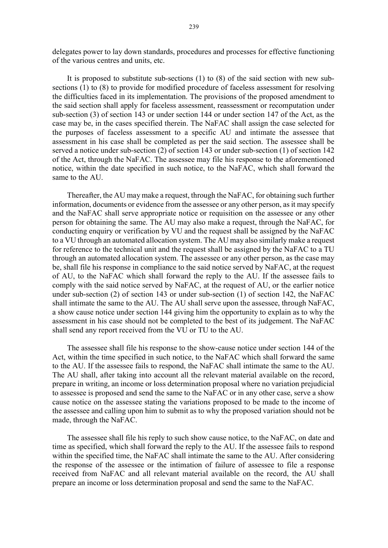delegates power to lay down standards, procedures and processes for effective functioning of the various centres and units, etc.

It is proposed to substitute sub-sections (1) to (8) of the said section with new subsections (1) to (8) to provide for modified procedure of faceless assessment for resolving the difficulties faced in its implementation. The provisions of the proposed amendment to the said section shall apply for faceless assessment, reassessment or recomputation under sub-section (3) of section 143 or under section 144 or under section 147 of the Act, as the case may be, in the cases specified therein. The NaFAC shall assign the case selected for the purposes of faceless assessment to a specific AU and intimate the assessee that assessment in his case shall be completed as per the said section. The assessee shall be served a notice under sub-section (2) of section 143 or under sub-section (1) of section 142 of the Act, through the NaFAC. The assessee may file his response to the aforementioned notice, within the date specified in such notice, to the NaFAC, which shall forward the same to the AU.

Thereafter, the AU may make a request, through the NaFAC, for obtaining such further information, documents or evidence from the assessee or any other person, as it may specify and the NaFAC shall serve appropriate notice or requisition on the assessee or any other person for obtaining the same. The AU may also make a request, through the NaFAC, for conducting enquiry or verification by VU and the request shall be assigned by the NaFAC to a VU through an automated allocation system. The AU may also similarly make a request for reference to the technical unit and the request shall be assigned by the NaFAC to a TU through an automated allocation system. The assessee or any other person, as the case may be, shall file his response in compliance to the said notice served by NaFAC, at the request of AU, to the NaFAC which shall forward the reply to the AU. If the assessee fails to comply with the said notice served by NaFAC, at the request of AU, or the earlier notice under sub-section (2) of section 143 or under sub-section (1) of section 142, the NaFAC shall intimate the same to the AU. The AU shall serve upon the assessee, through NaFAC, a show cause notice under section 144 giving him the opportunity to explain as to why the assessment in his case should not be completed to the best of its judgement. The NaFAC shall send any report received from the VU or TU to the AU.

The assessee shall file his response to the show-cause notice under section 144 of the Act, within the time specified in such notice, to the NaFAC which shall forward the same to the AU. If the assessee fails to respond, the NaFAC shall intimate the same to the AU. The AU shall, after taking into account all the relevant material available on the record, prepare in writing, an income or loss determination proposal where no variation prejudicial to assessee is proposed and send the same to the NaFAC or in any other case, serve a show cause notice on the assessee stating the variations proposed to be made to the income of the assessee and calling upon him to submit as to why the proposed variation should not be made, through the NaFAC.

The assessee shall file his reply to such show cause notice, to the NaFAC, on date and time as specified, which shall forward the reply to the AU. If the assessee fails to respond within the specified time, the NaFAC shall intimate the same to the AU. After considering the response of the assessee or the intimation of failure of assessee to file a response received from NaFAC and all relevant material available on the record, the AU shall prepare an income or loss determination proposal and send the same to the NaFAC.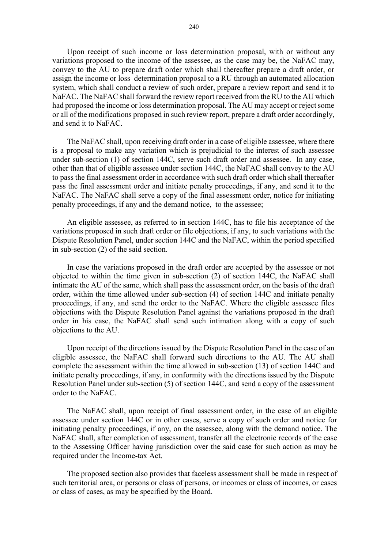Upon receipt of such income or loss determination proposal, with or without any variations proposed to the income of the assessee, as the case may be, the NaFAC may, convey to the AU to prepare draft order which shall thereafter prepare a draft order, or assign the income or loss determination proposal to a RU through an automated allocation system, which shall conduct a review of such order, prepare a review report and send it to NaFAC. The NaFAC shall forward the review report received from the RU to the AU which had proposed the income or loss determination proposal. The AU may accept or reject some or all of the modifications proposed in such review report, prepare a draft order accordingly, and send it to NaFAC.

The NaFAC shall, upon receiving draft order in a case of eligible assessee, where there is a proposal to make any variation which is prejudicial to the interest of such assessee under sub-section (1) of section 144C, serve such draft order and assessee. In any case, other than that of eligible assessee under section 144C, the NaFAC shall convey to the AU to pass the final assessment order in accordance with such draft order which shall thereafter pass the final assessment order and initiate penalty proceedings, if any, and send it to the NaFAC. The NaFAC shall serve a copy of the final assessment order, notice for initiating penalty proceedings, if any and the demand notice, to the assessee;

An eligible assessee, as referred to in section 144C, has to file his acceptance of the variations proposed in such draft order or file objections, if any, to such variations with the Dispute Resolution Panel, under section 144C and the NaFAC, within the period specified in sub-section (2) of the said section.

In case the variations proposed in the draft order are accepted by the assessee or not objected to within the time given in sub-section (2) of section 144C, the NaFAC shall intimate the AU of the same, which shall pass the assessment order, on the basis of the draft order, within the time allowed under sub-section (4) of section 144C and initiate penalty proceedings, if any, and send the order to the NaFAC. Where the eligible assessee files objections with the Dispute Resolution Panel against the variations proposed in the draft order in his case, the NaFAC shall send such intimation along with a copy of such objections to the AU.

Upon receipt of the directions issued by the Dispute Resolution Panel in the case of an eligible assessee, the NaFAC shall forward such directions to the AU. The AU shall complete the assessment within the time allowed in sub-section (13) of section 144C and initiate penalty proceedings, if any, in conformity with the directions issued by the Dispute Resolution Panel under sub-section (5) of section 144C, and send a copy of the assessment order to the NaFAC.

The NaFAC shall, upon receipt of final assessment order, in the case of an eligible assessee under section 144C or in other cases, serve a copy of such order and notice for initiating penalty proceedings, if any, on the assessee, along with the demand notice. The NaFAC shall, after completion of assessment, transfer all the electronic records of the case to the Assessing Officer having jurisdiction over the said case for such action as may be required under the Income-tax Act.

The proposed section also provides that faceless assessment shall be made in respect of such territorial area, or persons or class of persons, or incomes or class of incomes, or cases or class of cases, as may be specified by the Board.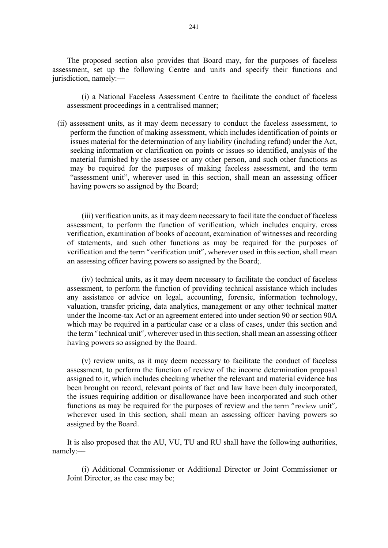The proposed section also provides that Board may, for the purposes of faceless assessment, set up the following Centre and units and specify their functions and jurisdiction, namely:—

(i) a National Faceless Assessment Centre to facilitate the conduct of faceless assessment proceedings in a centralised manner;

(ii) assessment units, as it may deem necessary to conduct the faceless assessment, to perform the function of making assessment, which includes identification of points or issues material for the determination of any liability (including refund) under the Act, seeking information or clarification on points or issues so identified, analysis of the material furnished by the assessee or any other person, and such other functions as may be required for the purposes of making faceless assessment, and the term "assessment unit", wherever used in this section, shall mean an assessing officer having powers so assigned by the Board;

(iii) verification units, as it may deem necessary to facilitate the conduct of faceless assessment, to perform the function of verification, which includes enquiry, cross verification, examination of books of account, examination of witnesses and recording of statements, and such other functions as may be required for the purposes of verification and the term "verification unit", wherever used in this section, shall mean an assessing officer having powers so assigned by the Board;.

(iv) technical units, as it may deem necessary to facilitate the conduct of faceless assessment, to perform the function of providing technical assistance which includes any assistance or advice on legal, accounting, forensic, information technology, valuation, transfer pricing, data analytics, management or any other technical matter under the Income-tax Act or an agreement entered into under section 90 or section 90A which may be required in a particular case or a class of cases, under this section and the term "technical unit", wherever used in this section, shall mean an assessing officer having powers so assigned by the Board.

(v) review units, as it may deem necessary to facilitate the conduct of faceless assessment, to perform the function of review of the income determination proposal assigned to it, which includes checking whether the relevant and material evidence has been brought on record, relevant points of fact and law have been duly incorporated, the issues requiring addition or disallowance have been incorporated and such other functions as may be required for the purposes of review and the term "review unit", wherever used in this section, shall mean an assessing officer having powers so assigned by the Board.

It is also proposed that the AU, VU, TU and RU shall have the following authorities, namely:––

(i) Additional Commissioner or Additional Director or Joint Commissioner or Joint Director, as the case may be;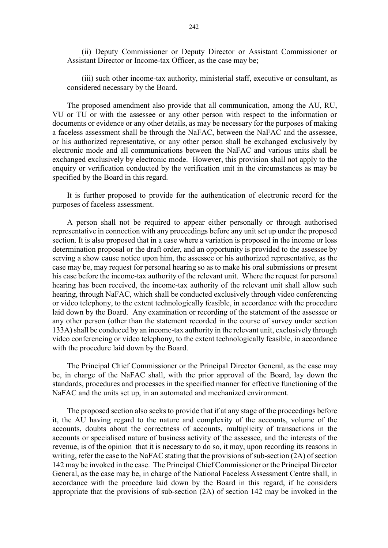(ii) Deputy Commissioner or Deputy Director or Assistant Commissioner or Assistant Director or Income-tax Officer, as the case may be;

(iii) such other income-tax authority, ministerial staff, executive or consultant, as considered necessary by the Board.

The proposed amendment also provide that all communication, among the AU, RU, VU or TU or with the assessee or any other person with respect to the information or documents or evidence or any other details, as may be necessary for the purposes of making a faceless assessment shall be through the NaFAC, between the NaFAC and the assessee, or his authorized representative, or any other person shall be exchanged exclusively by electronic mode and all communications between the NaFAC and various units shall be exchanged exclusively by electronic mode. However, this provision shall not apply to the enquiry or verification conducted by the verification unit in the circumstances as may be specified by the Board in this regard.

It is further proposed to provide for the authentication of electronic record for the purposes of faceless assessment.

A person shall not be required to appear either personally or through authorised representative in connection with any proceedings before any unit set up under the proposed section. It is also proposed that in a case where a variation is proposed in the income or loss determination proposal or the draft order, and an opportunity is provided to the assessee by serving a show cause notice upon him, the assessee or his authorized representative, as the case may be, may request for personal hearing so as to make his oral submissions or present his case before the income-tax authority of the relevant unit. Where the request for personal hearing has been received, the income-tax authority of the relevant unit shall allow such hearing, through NaFAC, which shall be conducted exclusively through video conferencing or video telephony, to the extent technologically feasible, in accordance with the procedure laid down by the Board. Any examination or recording of the statement of the assessee or any other person (other than the statement recorded in the course of survey under section 133A) shall be conduced by an income-tax authority in the relevant unit, exclusively through video conferencing or video telephony, to the extent technologically feasible, in accordance with the procedure laid down by the Board.

The Principal Chief Commissioner or the Principal Director General, as the case may be, in charge of the NaFAC shall, with the prior approval of the Board, lay down the standards, procedures and processes in the specified manner for effective functioning of the NaFAC and the units set up, in an automated and mechanized environment.

The proposed section also seeks to provide that if at any stage of the proceedings before it, the AU having regard to the nature and complexity of the accounts, volume of the accounts, doubts about the correctness of accounts, multiplicity of transactions in the accounts or specialised nature of business activity of the assessee, and the interests of the revenue, is of the opinion that it is necessary to do so, it may, upon recording its reasons in writing, refer the case to the NaFAC stating that the provisions of sub-section (2A) of section 142 may be invoked in the case. The Principal Chief Commissioner or the Principal Director General, as the case may be, in charge of the National Faceless Assessment Centre shall, in accordance with the procedure laid down by the Board in this regard, if he considers appropriate that the provisions of sub-section (2A) of section 142 may be invoked in the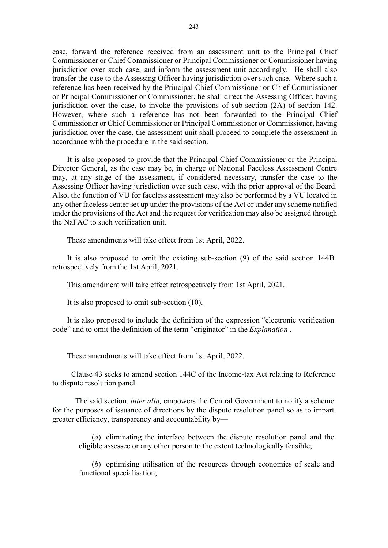case, forward the reference received from an assessment unit to the Principal Chief Commissioner or Chief Commissioner or Principal Commissioner or Commissioner having jurisdiction over such case, and inform the assessment unit accordingly. He shall also transfer the case to the Assessing Officer having jurisdiction over such case. Where such a reference has been received by the Principal Chief Commissioner or Chief Commissioner or Principal Commissioner or Commissioner, he shall direct the Assessing Officer, having jurisdiction over the case, to invoke the provisions of sub-section (2A) of section 142. However, where such a reference has not been forwarded to the Principal Chief Commissioner or Chief Commissioner or Principal Commissioner or Commissioner, having jurisdiction over the case, the assessment unit shall proceed to complete the assessment in accordance with the procedure in the said section.

It is also proposed to provide that the Principal Chief Commissioner or the Principal Director General, as the case may be, in charge of National Faceless Assessment Centre may, at any stage of the assessment, if considered necessary, transfer the case to the Assessing Officer having jurisdiction over such case, with the prior approval of the Board. Also, the function of VU for faceless assessment may also be performed by a VU located in any other faceless center set up under the provisions of the Act or under any scheme notified under the provisions of the Act and the request for verification may also be assigned through the NaFAC to such verification unit.

These amendments will take effect from 1st April, 2022.

It is also proposed to omit the existing sub-section (9) of the said section 144B retrospectively from the 1st April, 2021.

This amendment will take effect retrospectively from 1st April, 2021.

It is also proposed to omit sub-section (10).

It is also proposed to include the definition of the expression "electronic verification code" and to omit the definition of the term "originator" in the *Explanation*.

These amendments will take effect from 1st April, 2022.

Clause 43 seeks to amend section 144C of the Income-tax Act relating to Reference to dispute resolution panel.

 The said section, inter alia, empowers the Central Government to notify a scheme for the purposes of issuance of directions by the dispute resolution panel so as to impart greater efficiency, transparency and accountability by—

(a) eliminating the interface between the dispute resolution panel and the eligible assessee or any other person to the extent technologically feasible;

(b) optimising utilisation of the resources through economies of scale and functional specialisation;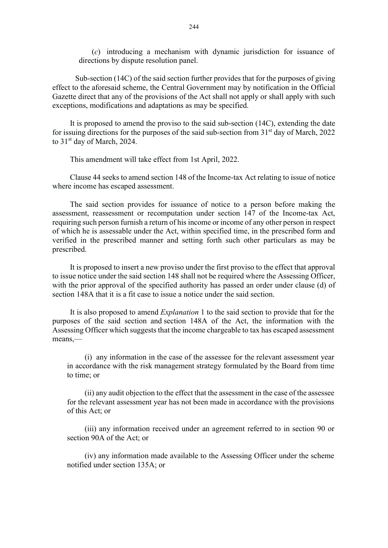(c) introducing a mechanism with dynamic jurisdiction for issuance of directions by dispute resolution panel.

 Sub-section (14C) of the said section further provides that for the purposes of giving effect to the aforesaid scheme, the Central Government may by notification in the Official Gazette direct that any of the provisions of the Act shall not apply or shall apply with such exceptions, modifications and adaptations as may be specified.

It is proposed to amend the proviso to the said sub-section (14C), extending the date for issuing directions for the purposes of the said sub-section from  $31<sup>st</sup>$  day of March, 2022 to 31<sup>st</sup> day of March, 2024.

This amendment will take effect from 1st April, 2022.

Clause 44 seeks to amend section 148 of the Income-tax Act relating to issue of notice where income has escaped assessment.

The said section provides for issuance of notice to a person before making the assessment, reassessment or recomputation under section 147 of the Income-tax Act, requiring such person furnish a return of his income or income of any other person in respect of which he is assessable under the Act, within specified time, in the prescribed form and verified in the prescribed manner and setting forth such other particulars as may be prescribed.

It is proposed to insert a new proviso under the first proviso to the effect that approval to issue notice under the said section 148 shall not be required where the Assessing Officer, with the prior approval of the specified authority has passed an order under clause (d) of section 148A that it is a fit case to issue a notice under the said section.

It is also proposed to amend Explanation 1 to the said section to provide that for the purposes of the said section and section 148A of the Act, the information with the Assessing Officer which suggests that the income chargeable to tax has escaped assessment means,—

(i) any information in the case of the assessee for the relevant assessment year in accordance with the risk management strategy formulated by the Board from time to time; or

(ii) any audit objection to the effect that the assessment in the case of the assessee for the relevant assessment year has not been made in accordance with the provisions of this Act; or

(iii) any information received under an agreement referred to in section 90 or section 90A of the Act; or

(iv) any information made available to the Assessing Officer under the scheme notified under section 135A; or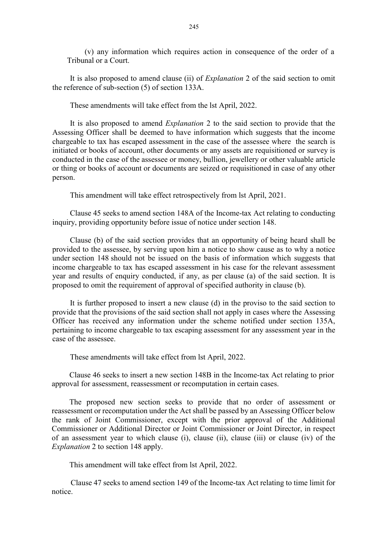(v) any information which requires action in consequence of the order of a Tribunal or a Court.

It is also proposed to amend clause (ii) of Explanation 2 of the said section to omit the reference of sub-section (5) of section 133A.

These amendments will take effect from the lst April, 2022.

It is also proposed to amend Explanation 2 to the said section to provide that the Assessing Officer shall be deemed to have information which suggests that the income chargeable to tax has escaped assessment in the case of the assessee where the search is initiated or books of account, other documents or any assets are requisitioned or survey is conducted in the case of the assessee or money, bullion, jewellery or other valuable article or thing or books of account or documents are seized or requisitioned in case of any other person.

This amendment will take effect retrospectively from lst April, 2021.

Clause 45 seeks to amend section 148A of the Income-tax Act relating to conducting inquiry, providing opportunity before issue of notice under section 148.

Clause (b) of the said section provides that an opportunity of being heard shall be provided to the assessee, by serving upon him a notice to show cause as to why a notice under section 148 should not be issued on the basis of information which suggests that income chargeable to tax has escaped assessment in his case for the relevant assessment year and results of enquiry conducted, if any, as per clause (a) of the said section. It is proposed to omit the requirement of approval of specified authority in clause (b).

It is further proposed to insert a new clause (d) in the proviso to the said section to provide that the provisions of the said section shall not apply in cases where the Assessing Officer has received any information under the scheme notified under section 135A, pertaining to income chargeable to tax escaping assessment for any assessment year in the case of the assessee.

These amendments will take effect from lst April, 2022.

Clause 46 seeks to insert a new section 148B in the Income-tax Act relating to prior approval for assessment, reassessment or recomputation in certain cases.

The proposed new section seeks to provide that no order of assessment or reassessment or recomputation under the Act shall be passed by an Assessing Officer below the rank of Joint Commissioner, except with the prior approval of the Additional Commissioner or Additional Director or Joint Commissioner or Joint Director, in respect of an assessment year to which clause (i), clause (ii), clause (iii) or clause (iv) of the Explanation 2 to section 148 apply.

This amendment will take effect from lst April, 2022.

Clause 47 seeks to amend section 149 of the Income-tax Act relating to time limit for notice.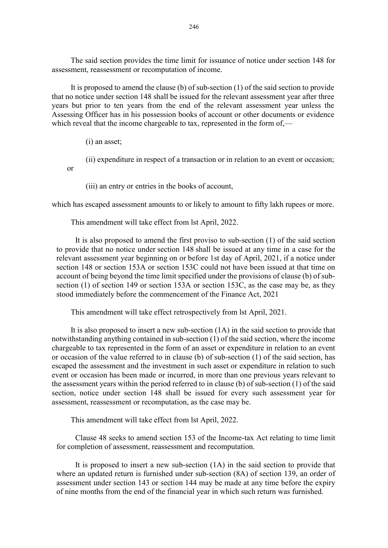The said section provides the time limit for issuance of notice under section 148 for assessment, reassessment or recomputation of income.

It is proposed to amend the clause (b) of sub-section (1) of the said section to provide that no notice under section 148 shall be issued for the relevant assessment year after three years but prior to ten years from the end of the relevant assessment year unless the Assessing Officer has in his possession books of account or other documents or evidence which reveal that the income chargeable to tax, represented in the form of,—

(i) an asset;

(ii) expenditure in respect of a transaction or in relation to an event or occasion; or

(iii) an entry or entries in the books of account,

which has escaped assessment amounts to or likely to amount to fifty lakh rupees or more.

This amendment will take effect from lst April, 2022.

It is also proposed to amend the first proviso to sub-section (1) of the said section to provide that no notice under section 148 shall be issued at any time in a case for the relevant assessment year beginning on or before 1st day of April, 2021, if a notice under section 148 or section 153A or section 153C could not have been issued at that time on account of being beyond the time limit specified under the provisions of clause (b) of subsection (1) of section 149 or section 153A or section 153C, as the case may be, as they stood immediately before the commencement of the Finance Act, 2021

This amendment will take effect retrospectively from lst April, 2021.

It is also proposed to insert a new sub-section (1A) in the said section to provide that notwithstanding anything contained in sub-section (1) of the said section, where the income chargeable to tax represented in the form of an asset or expenditure in relation to an event or occasion of the value referred to in clause (b) of sub-section (1) of the said section, has escaped the assessment and the investment in such asset or expenditure in relation to such event or occasion has been made or incurred, in more than one previous years relevant to the assessment years within the period referred to in clause (b) of sub-section (1) of the said section, notice under section 148 shall be issued for every such assessment year for assessment, reassessment or recomputation, as the case may be.

This amendment will take effect from lst April, 2022.

Clause 48 seeks to amend section 153 of the Income-tax Act relating to time limit for completion of assessment, reassessment and recomputation.

It is proposed to insert a new sub-section (1A) in the said section to provide that where an updated return is furnished under sub-section (8A) of section 139, an order of assessment under section 143 or section 144 may be made at any time before the expiry of nine months from the end of the financial year in which such return was furnished.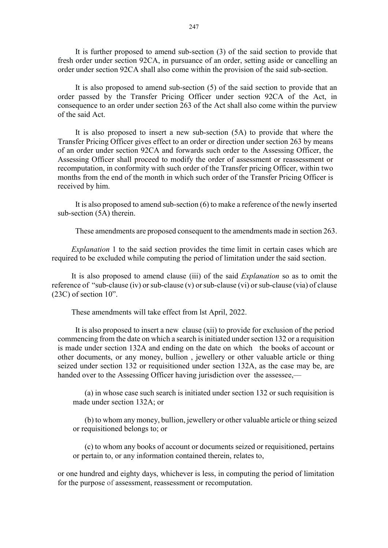It is further proposed to amend sub-section (3) of the said section to provide that fresh order under section 92CA, in pursuance of an order, setting aside or cancelling an order under section 92CA shall also come within the provision of the said sub-section.

It is also proposed to amend sub-section (5) of the said section to provide that an order passed by the Transfer Pricing Officer under section 92CA of the Act, in consequence to an order under section 263 of the Act shall also come within the purview of the said Act.

It is also proposed to insert a new sub-section (5A) to provide that where the Transfer Pricing Officer gives effect to an order or direction under section 263 by means of an order under section 92CA and forwards such order to the Assessing Officer, the Assessing Officer shall proceed to modify the order of assessment or reassessment or recomputation, in conformity with such order of the Transfer pricing Officer, within two months from the end of the month in which such order of the Transfer Pricing Officer is received by him.

It is also proposed to amend sub-section (6) to make a reference of the newly inserted sub-section (5A) therein.

These amendments are proposed consequent to the amendments made in section 263.

Explanation 1 to the said section provides the time limit in certain cases which are required to be excluded while computing the period of limitation under the said section.

It is also proposed to amend clause (iii) of the said Explanation so as to omit the reference of "sub-clause (iv) or sub-clause (v) or sub-clause (vi) or sub-clause (via) of clause (23C) of section 10".

These amendments will take effect from lst April, 2022.

It is also proposed to insert a new clause (xii) to provide for exclusion of the period commencing from the date on which a search is initiated under section 132 or a requisition is made under section 132A and ending on the date on which the books of account or other documents, or any money, bullion , jewellery or other valuable article or thing seized under section 132 or requisitioned under section 132A, as the case may be, are handed over to the Assessing Officer having jurisdiction over the assessee,—

(a) in whose case such search is initiated under section 132 or such requisition is made under section 132A; or

(b) to whom any money, bullion, jewellery or other valuable article or thing seized or requisitioned belongs to; or

(c) to whom any books of account or documents seized or requisitioned, pertains or pertain to, or any information contained therein, relates to,

or one hundred and eighty days, whichever is less, in computing the period of limitation for the purpose of assessment, reassessment or recomputation.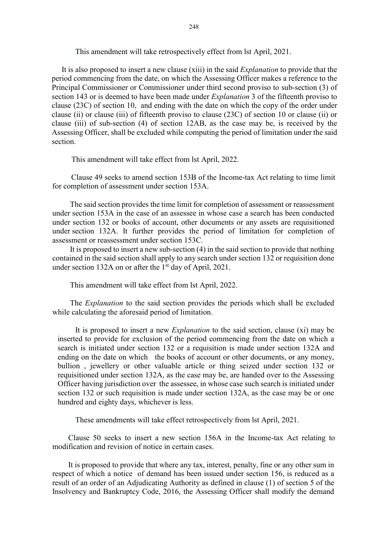This amendment will take retrospectively effect from lst April, 2021.

 It is also proposed to insert a new clause (xiii) in the said Explanation to provide that the period commencing from the date, on which the Assessing Officer makes a reference to the Principal Commissioner or Commissioner under third second proviso to sub-section (3) of section 143 or is deemed to have been made under *Explanation* 3 of the fifteenth proviso to clause (23C) of section 10, and ending with the date on which the copy of the order under clause (ii) or clause (iii) of fifteenth proviso to clause (23C) of section 10 or clause (ii) or clause (iii) of sub-section (4) of section 12AB, as the case may be, is received by the Assessing Officer, shall be excluded while computing the period of limitation under the said section.

This amendment will take effect from lst April, 2022.

Clause 49 seeks to amend section 153B of the Income-tax Act relating to time limit for completion of assessment under section 153A.

The said section provides the time limit for completion of assessment or reassessment under section 153A in the case of an assessee in whose case a search has been conducted under section 132 or books of account, other documents or any assets are requisitioned under section 132A. It further provides the period of limitation for completion of assessment or reassessment under section 153C.

It is proposed to insert a new sub-section (4) in the said section to provide that nothing contained in the said section shall apply to any search under section 132 or requisition done under section 132A on or after the  $1<sup>st</sup>$  day of April, 2021.

This amendment will take effect from lst April, 2022.

The *Explanation* to the said section provides the periods which shall be excluded while calculating the aforesaid period of limitation.

It is proposed to insert a new Explanation to the said section, clause (xi) may be inserted to provide for exclusion of the period commencing from the date on which a search is initiated under section 132 or a requisition is made under section 132A and ending on the date on which the books of account or other documents, or any money, bullion , jewellery or other valuable article or thing seized under section 132 or requisitioned under section 132A, as the case may be, are handed over to the Assessing Officer having jurisdiction over the assessee, in whose case such search is initiated under section 132 or such requisition is made under section 132A, as the case may be or one hundred and eighty days, whichever is less.

These amendments will take effect retrospectively from lst April, 2021.

Clause 50 seeks to insert a new section 156A in the Income-tax Act relating to modification and revision of notice in certain cases.

It is proposed to provide that where any tax, interest, penalty, fine or any other sum in respect of which a notice of demand has been issued under section 156, is reduced as a result of an order of an Adjudicating Authority as defined in clause (1) of section 5 of the Insolvency and Bankruptcy Code, 2016, the Assessing Officer shall modify the demand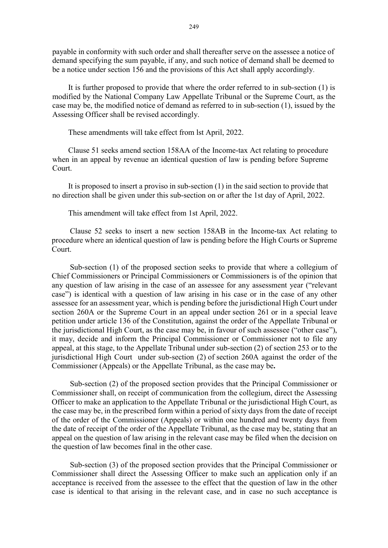payable in conformity with such order and shall thereafter serve on the assessee a notice of demand specifying the sum payable, if any, and such notice of demand shall be deemed to be a notice under section 156 and the provisions of this Act shall apply accordingly.

It is further proposed to provide that where the order referred to in sub-section (1) is modified by the National Company Law Appellate Tribunal or the Supreme Court, as the case may be, the modified notice of demand as referred to in sub-section (1), issued by the Assessing Officer shall be revised accordingly.

These amendments will take effect from lst April, 2022.

Clause 51 seeks amend section 158AA of the Income-tax Act relating to procedure when in an appeal by revenue an identical question of law is pending before Supreme Court.

It is proposed to insert a proviso in sub-section (1) in the said section to provide that no direction shall be given under this sub-section on or after the 1st day of April, 2022.

This amendment will take effect from 1st April, 2022.

Clause 52 seeks to insert a new section 158AB in the Income-tax Act relating to procedure where an identical question of law is pending before the High Courts or Supreme Court.

Sub-section (1) of the proposed section seeks to provide that where a collegium of Chief Commissioners or Principal Commissioners or Commissioners is of the opinion that any question of law arising in the case of an assessee for any assessment year ("relevant case") is identical with a question of law arising in his case or in the case of any other assessee for an assessment year, which is pending before the jurisdictional High Court under section 260A or the Supreme Court in an appeal under section 261 or in a special leave petition under article 136 of the Constitution, against the order of the Appellate Tribunal or the jurisdictional High Court, as the case may be, in favour of such assessee ("other case"), it may, decide and inform the Principal Commissioner or Commissioner not to file any appeal, at this stage, to the Appellate Tribunal under sub-section (2) of section 253 or to the jurisdictional High Court under sub-section (2) of section 260A against the order of the Commissioner (Appeals) or the Appellate Tribunal, as the case may be.

Sub-section (2) of the proposed section provides that the Principal Commissioner or Commissioner shall, on receipt of communication from the collegium, direct the Assessing Officer to make an application to the Appellate Tribunal or the jurisdictional High Court, as the case may be, in the prescribed form within a period of sixty days from the date of receipt of the order of the Commissioner (Appeals) or within one hundred and twenty days from the date of receipt of the order of the Appellate Tribunal, as the case may be, stating that an appeal on the question of law arising in the relevant case may be filed when the decision on the question of law becomes final in the other case.

Sub-section (3) of the proposed section provides that the Principal Commissioner or Commissioner shall direct the Assessing Officer to make such an application only if an acceptance is received from the assessee to the effect that the question of law in the other case is identical to that arising in the relevant case, and in case no such acceptance is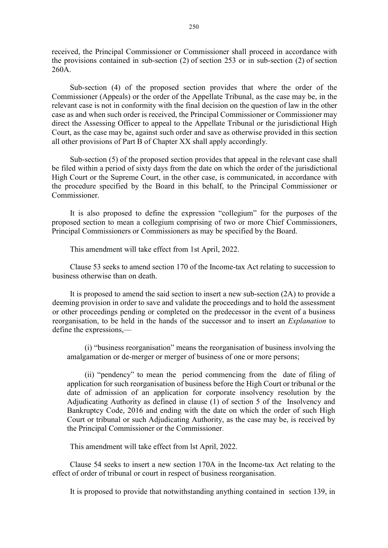received, the Principal Commissioner or Commissioner shall proceed in accordance with the provisions contained in sub-section (2) of section 253 or in sub-section (2) of section 260A.

Sub-section (4) of the proposed section provides that where the order of the Commissioner (Appeals) or the order of the Appellate Tribunal, as the case may be, in the relevant case is not in conformity with the final decision on the question of law in the other case as and when such order is received, the Principal Commissioner or Commissioner may direct the Assessing Officer to appeal to the Appellate Tribunal or the jurisdictional High Court, as the case may be, against such order and save as otherwise provided in this section all other provisions of Part B of Chapter XX shall apply accordingly.

Sub-section (5) of the proposed section provides that appeal in the relevant case shall be filed within a period of sixty days from the date on which the order of the jurisdictional High Court or the Supreme Court, in the other case, is communicated, in accordance with the procedure specified by the Board in this behalf, to the Principal Commissioner or Commissioner.

It is also proposed to define the expression "collegium" for the purposes of the proposed section to mean a collegium comprising of two or more Chief Commissioners, Principal Commissioners or Commissioners as may be specified by the Board.

This amendment will take effect from 1st April, 2022.

Clause 53 seeks to amend section 170 of the Income-tax Act relating to succession to business otherwise than on death.

It is proposed to amend the said section to insert a new sub-section (2A) to provide a deeming provision in order to save and validate the proceedings and to hold the assessment or other proceedings pending or completed on the predecessor in the event of a business reorganisation, to be held in the hands of the successor and to insert an Explanation to define the expressions,––

(i) "business reorganisation" means the reorganisation of business involving the amalgamation or de-merger or merger of business of one or more persons;

(ii) "pendency" to mean the period commencing from the date of filing of application for such reorganisation of business before the High Court or tribunal or the date of admission of an application for corporate insolvency resolution by the Adjudicating Authority as defined in clause (1) of section 5 of the Insolvency and Bankruptcy Code, 2016 and ending with the date on which the order of such High Court or tribunal or such Adjudicating Authority, as the case may be, is received by the Principal Commissioner or the Commissioner.

This amendment will take effect from lst April, 2022.

Clause 54 seeks to insert a new section 170A in the Income-tax Act relating to the effect of order of tribunal or court in respect of business reorganisation.

It is proposed to provide that notwithstanding anything contained in section 139, in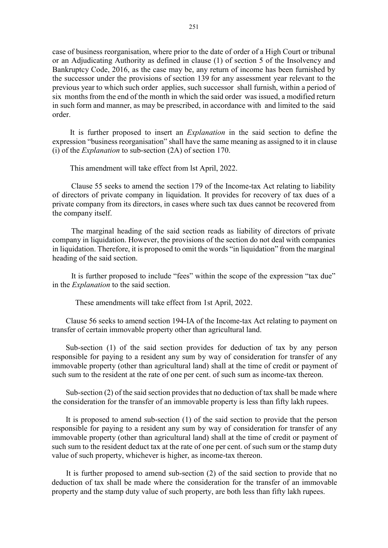case of business reorganisation, where prior to the date of order of a High Court or tribunal or an Adjudicating Authority as defined in clause (1) of section 5 of the Insolvency and Bankruptcy Code, 2016, as the case may be, any return of income has been furnished by the successor under the provisions of section 139 for any assessment year relevant to the previous year to which such order applies, such successor shall furnish, within a period of six months from the end of the month in which the said order was issued, a modified return in such form and manner, as may be prescribed, in accordance with and limited to the said order.

It is further proposed to insert an Explanation in the said section to define the expression "business reorganisation" shall have the same meaning as assigned to it in clause (i) of the Explanation to sub-section (2A) of section 170.

This amendment will take effect from lst April, 2022.

Clause 55 seeks to amend the section 179 of the Income-tax Act relating to liability of directors of private company in liquidation. It provides for recovery of tax dues of a private company from its directors, in cases where such tax dues cannot be recovered from the company itself.

The marginal heading of the said section reads as liability of directors of private company in liquidation. However, the provisions of the section do not deal with companies in liquidation. Therefore, it is proposed to omit the words "in liquidation" from the marginal heading of the said section.

It is further proposed to include "fees" within the scope of the expression "tax due" in the Explanation to the said section.

These amendments will take effect from 1st April, 2022.

Clause 56 seeks to amend section 194-IA of the Income-tax Act relating to payment on transfer of certain immovable property other than agricultural land.

Sub-section (1) of the said section provides for deduction of tax by any person responsible for paying to a resident any sum by way of consideration for transfer of any immovable property (other than agricultural land) shall at the time of credit or payment of such sum to the resident at the rate of one per cent. of such sum as income-tax thereon.

Sub-section (2) of the said section provides that no deduction of tax shall be made where the consideration for the transfer of an immovable property is less than fifty lakh rupees.

It is proposed to amend sub-section (1) of the said section to provide that the person responsible for paying to a resident any sum by way of consideration for transfer of any immovable property (other than agricultural land) shall at the time of credit or payment of such sum to the resident deduct tax at the rate of one per cent. of such sum or the stamp duty value of such property, whichever is higher, as income-tax thereon.

 It is further proposed to amend sub-section (2) of the said section to provide that no deduction of tax shall be made where the consideration for the transfer of an immovable property and the stamp duty value of such property, are both less than fifty lakh rupees.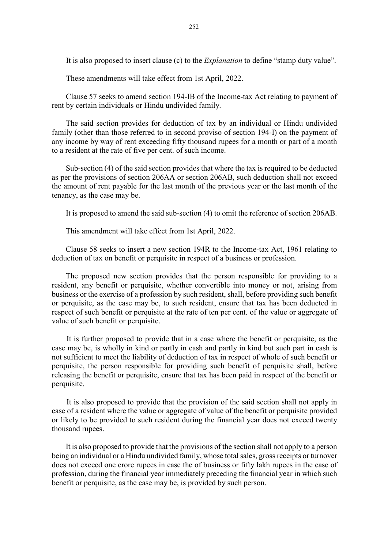It is also proposed to insert clause (c) to the *Explanation* to define "stamp duty value".

These amendments will take effect from 1st April, 2022.

Clause 57 seeks to amend section 194-IB of the Income-tax Act relating to payment of rent by certain individuals or Hindu undivided family.

The said section provides for deduction of tax by an individual or Hindu undivided family (other than those referred to in second proviso of section 194-I) on the payment of any income by way of rent exceeding fifty thousand rupees for a month or part of a month to a resident at the rate of five per cent. of such income.

Sub-section (4) of the said section provides that where the tax is required to be deducted as per the provisions of section 206AA or section 206AB, such deduction shall not exceed the amount of rent payable for the last month of the previous year or the last month of the tenancy, as the case may be.

It is proposed to amend the said sub-section (4) to omit the reference of section 206AB.

This amendment will take effect from 1st April, 2022.

Clause 58 seeks to insert a new section 194R to the Income-tax Act, 1961 relating to deduction of tax on benefit or perquisite in respect of a business or profession.

The proposed new section provides that the person responsible for providing to a resident, any benefit or perquisite, whether convertible into money or not, arising from business or the exercise of a profession by such resident, shall, before providing such benefit or perquisite, as the case may be, to such resident, ensure that tax has been deducted in respect of such benefit or perquisite at the rate of ten per cent. of the value or aggregate of value of such benefit or perquisite.

It is further proposed to provide that in a case where the benefit or perquisite, as the case may be, is wholly in kind or partly in cash and partly in kind but such part in cash is not sufficient to meet the liability of deduction of tax in respect of whole of such benefit or perquisite, the person responsible for providing such benefit of perquisite shall, before releasing the benefit or perquisite, ensure that tax has been paid in respect of the benefit or perquisite.

It is also proposed to provide that the provision of the said section shall not apply in case of a resident where the value or aggregate of value of the benefit or perquisite provided or likely to be provided to such resident during the financial year does not exceed twenty thousand rupees.

It is also proposed to provide that the provisions of the section shall not apply to a person being an individual or a Hindu undivided family, whose total sales, gross receipts or turnover does not exceed one crore rupees in case the of business or fifty lakh rupees in the case of profession, during the financial year immediately preceding the financial year in which such benefit or perquisite, as the case may be, is provided by such person.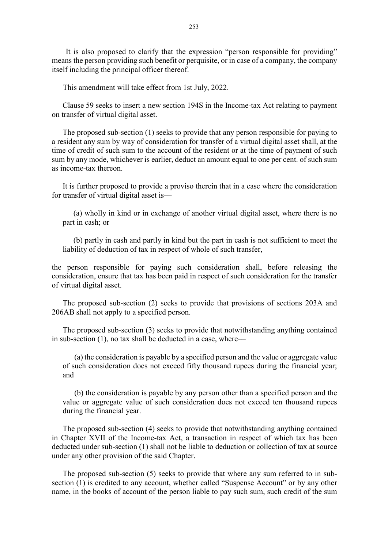It is also proposed to clarify that the expression "person responsible for providing" means the person providing such benefit or perquisite, or in case of a company, the company itself including the principal officer thereof.

This amendment will take effect from 1st July, 2022.

Clause 59 seeks to insert a new section 194S in the Income-tax Act relating to payment on transfer of virtual digital asset.

The proposed sub-section (1) seeks to provide that any person responsible for paying to a resident any sum by way of consideration for transfer of a virtual digital asset shall, at the time of credit of such sum to the account of the resident or at the time of payment of such sum by any mode, whichever is earlier, deduct an amount equal to one per cent. of such sum as income-tax thereon.

It is further proposed to provide a proviso therein that in a case where the consideration for transfer of virtual digital asset is––

(a) wholly in kind or in exchange of another virtual digital asset, where there is no part in cash; or

(b) partly in cash and partly in kind but the part in cash is not sufficient to meet the liability of deduction of tax in respect of whole of such transfer,

the person responsible for paying such consideration shall, before releasing the consideration, ensure that tax has been paid in respect of such consideration for the transfer of virtual digital asset.

The proposed sub-section (2) seeks to provide that provisions of sections 203A and 206AB shall not apply to a specified person.

The proposed sub-section (3) seeks to provide that notwithstanding anything contained in sub-section (1), no tax shall be deducted in a case, where––

(a) the consideration is payable by a specified person and the value or aggregate value of such consideration does not exceed fifty thousand rupees during the financial year; and

(b) the consideration is payable by any person other than a specified person and the value or aggregate value of such consideration does not exceed ten thousand rupees during the financial year.

The proposed sub-section (4) seeks to provide that notwithstanding anything contained in Chapter XVII of the Income-tax Act, a transaction in respect of which tax has been deducted under sub-section (1) shall not be liable to deduction or collection of tax at source under any other provision of the said Chapter.

The proposed sub-section (5) seeks to provide that where any sum referred to in subsection (1) is credited to any account, whether called "Suspense Account" or by any other name, in the books of account of the person liable to pay such sum, such credit of the sum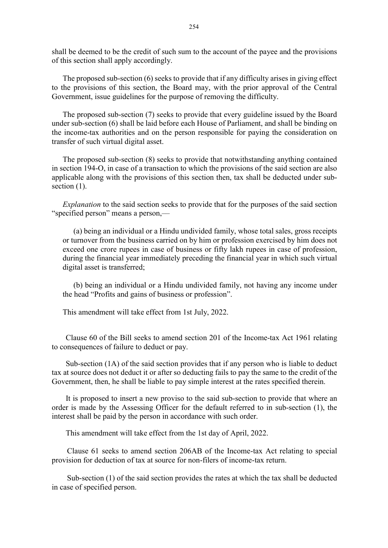shall be deemed to be the credit of such sum to the account of the payee and the provisions of this section shall apply accordingly.

The proposed sub-section (6) seeks to provide that if any difficulty arises in giving effect to the provisions of this section, the Board may, with the prior approval of the Central Government, issue guidelines for the purpose of removing the difficulty.

The proposed sub-section (7) seeks to provide that every guideline issued by the Board under sub-section (6) shall be laid before each House of Parliament, and shall be binding on the income-tax authorities and on the person responsible for paying the consideration on transfer of such virtual digital asset.

The proposed sub-section (8) seeks to provide that notwithstanding anything contained in section 194-O, in case of a transaction to which the provisions of the said section are also applicable along with the provisions of this section then, tax shall be deducted under subsection  $(1)$ .

Explanation to the said section seeks to provide that for the purposes of the said section "specified person" means a person,––

(a) being an individual or a Hindu undivided family, whose total sales, gross receipts or turnover from the business carried on by him or profession exercised by him does not exceed one crore rupees in case of business or fifty lakh rupees in case of profession, during the financial year immediately preceding the financial year in which such virtual digital asset is transferred;

(b) being an individual or a Hindu undivided family, not having any income under the head "Profits and gains of business or profession".

This amendment will take effect from 1st July, 2022.

Clause 60 of the Bill seeks to amend section 201 of the Income-tax Act 1961 relating to consequences of failure to deduct or pay.

Sub-section (1A) of the said section provides that if any person who is liable to deduct tax at source does not deduct it or after so deducting fails to pay the same to the credit of the Government, then, he shall be liable to pay simple interest at the rates specified therein.

It is proposed to insert a new proviso to the said sub-section to provide that where an order is made by the Assessing Officer for the default referred to in sub-section (1), the interest shall be paid by the person in accordance with such order.

This amendment will take effect from the 1st day of April, 2022.

Clause 61 seeks to amend section 206AB of the Income-tax Act relating to special provision for deduction of tax at source for non-filers of income-tax return.

Sub-section (1) of the said section provides the rates at which the tax shall be deducted in case of specified person.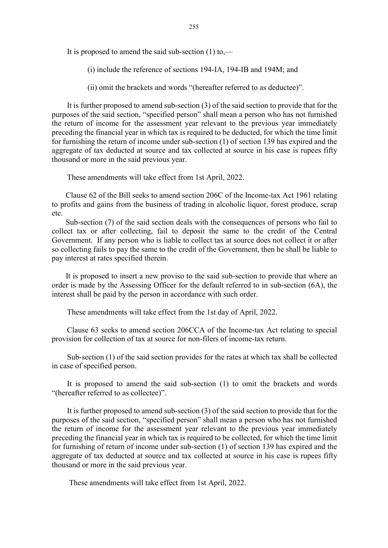It is proposed to amend the said sub-section  $(1)$  to,—

(i) include the reference of sections 194-IA, 194-IB and 194M; and

(ii) omit the brackets and words "(hereafter referred to as deductee)".

It is further proposed to amend sub-section (3) of the said section to provide that for the purposes of the said section, "specified person" shall mean a person who has not furnished the return of income for the assessment year relevant to the previous year immediately preceding the financial year in which tax is required to be deducted, for which the time limit for furnishing the return of income under sub-section (1) of section 139 has expired and the aggregate of tax deducted at source and tax collected at source in his case is rupees fifty thousand or more in the said previous year.

These amendments will take effect from 1st April, 2022.

Clause 62 of the Bill seeks to amend section 206C of the Income-tax Act 1961 relating to profits and gains from the business of trading in alcoholic liquor, forest produce, scrap etc.

Sub-section (7) of the said section deals with the consequences of persons who fail to collect tax or after collecting, fail to deposit the same to the credit of the Central Government. If any person who is liable to collect tax at source does not collect it or after so collecting fails to pay the same to the credit of the Government, then he shall be liable to pay interest at rates specified therein.

It is proposed to insert a new proviso to the said sub-section to provide that where an order is made by the Assessing Officer for the default referred to in sub-section (6A), the interest shall be paid by the person in accordance with such order.

These amendments will take effect from the 1st day of April, 2022.

Clause 63 seeks to amend section 206CCA of the Income-tax Act relating to special provision for collection of tax at source for non-filers of income-tax return.

Sub-section (1) of the said section provides for the rates at which tax shall be collected in case of specified person.

It is proposed to amend the said sub-section (1) to omit the brackets and words "(hereafter referred to as collectee)".

It is further proposed to amend sub-section (3) of the said section to provide that for the purposes of the said section, "specified person" shall mean a person who has not furnished the return of income for the assessment year relevant to the previous year immediately preceding the financial year in which tax is required to be collected, for which the time limit for furnishing of return of income under sub-section (1) of section 139 has expired and the aggregate of tax deducted at source and tax collected at source in his case is rupees fifty thousand or more in the said previous year.

These amendments will take effect from 1st April, 2022.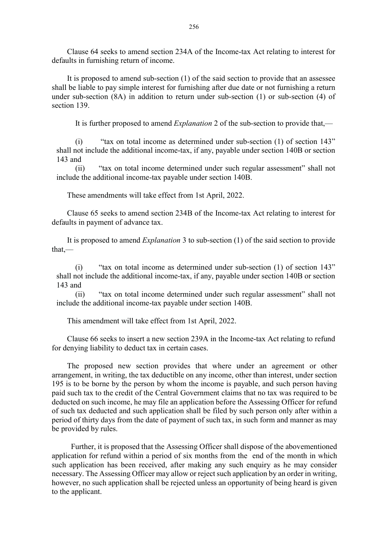Clause 64 seeks to amend section 234A of the Income-tax Act relating to interest for defaults in furnishing return of income.

It is proposed to amend sub-section (1) of the said section to provide that an assessee shall be liable to pay simple interest for furnishing after due date or not furnishing a return under sub-section (8A) in addition to return under sub-section (1) or sub-section (4) of section 139.

It is further proposed to amend Explanation 2 of the sub-section to provide that,—

(i) "tax on total income as determined under sub-section (1) of section 143" shall not include the additional income-tax, if any, payable under section 140B or section 143 and

(ii) "tax on total income determined under such regular assessment" shall not include the additional income-tax payable under section 140B.

These amendments will take effect from 1st April, 2022.

Clause 65 seeks to amend section 234B of the Income-tax Act relating to interest for defaults in payment of advance tax.

It is proposed to amend Explanation 3 to sub-section (1) of the said section to provide that,––

(i) "tax on total income as determined under sub-section (1) of section 143" shall not include the additional income-tax, if any, payable under section 140B or section 143 and

(ii) "tax on total income determined under such regular assessment" shall not include the additional income-tax payable under section 140B.

This amendment will take effect from 1st April, 2022.

Clause 66 seeks to insert a new section 239A in the Income-tax Act relating to refund for denying liability to deduct tax in certain cases.

The proposed new section provides that where under an agreement or other arrangement, in writing, the tax deductible on any income, other than interest, under section 195 is to be borne by the person by whom the income is payable, and such person having paid such tax to the credit of the Central Government claims that no tax was required to be deducted on such income, he may file an application before the Assessing Officer for refund of such tax deducted and such application shall be filed by such person only after within a period of thirty days from the date of payment of such tax, in such form and manner as may be provided by rules.

 Further, it is proposed that the Assessing Officer shall dispose of the abovementioned application for refund within a period of six months from the end of the month in which such application has been received, after making any such enquiry as he may consider necessary. The Assessing Officer may allow or reject such application by an order in writing, however, no such application shall be rejected unless an opportunity of being heard is given to the applicant.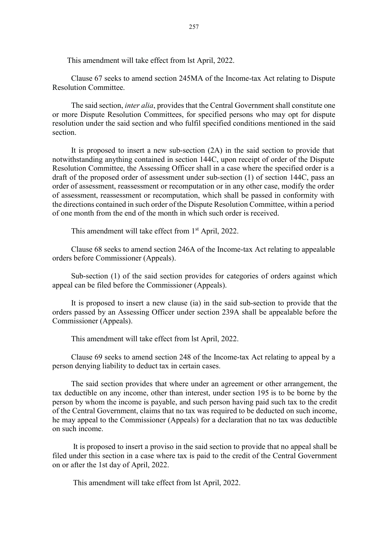This amendment will take effect from lst April, 2022.

Clause 67 seeks to amend section 245MA of the Income-tax Act relating to Dispute Resolution Committee.

The said section, *inter alia*, provides that the Central Government shall constitute one or more Dispute Resolution Committees, for specified persons who may opt for dispute resolution under the said section and who fulfil specified conditions mentioned in the said section.

It is proposed to insert a new sub-section (2A) in the said section to provide that notwithstanding anything contained in section 144C, upon receipt of order of the Dispute Resolution Committee, the Assessing Officer shall in a case where the specified order is a draft of the proposed order of assessment under sub-section (1) of section 144C, pass an order of assessment, reassessment or recomputation or in any other case, modify the order of assessment, reassessment or recomputation, which shall be passed in conformity with the directions contained in such order of the Dispute Resolution Committee, within a period of one month from the end of the month in which such order is received.

This amendment will take effect from 1<sup>st</sup> April, 2022.

Clause 68 seeks to amend section 246A of the Income-tax Act relating to appealable orders before Commissioner (Appeals).

Sub-section (1) of the said section provides for categories of orders against which appeal can be filed before the Commissioner (Appeals).

It is proposed to insert a new clause (ia) in the said sub-section to provide that the orders passed by an Assessing Officer under section 239A shall be appealable before the Commissioner (Appeals).

This amendment will take effect from lst April, 2022.

Clause 69 seeks to amend section 248 of the Income-tax Act relating to appeal by a person denying liability to deduct tax in certain cases.

The said section provides that where under an agreement or other arrangement, the tax deductible on any income, other than interest, under section 195 is to be borne by the person by whom the income is payable, and such person having paid such tax to the credit of the Central Government, claims that no tax was required to be deducted on such income, he may appeal to the Commissioner (Appeals) for a declaration that no tax was deductible on such income.

 It is proposed to insert a proviso in the said section to provide that no appeal shall be filed under this section in a case where tax is paid to the credit of the Central Government on or after the 1st day of April, 2022.

This amendment will take effect from lst April, 2022.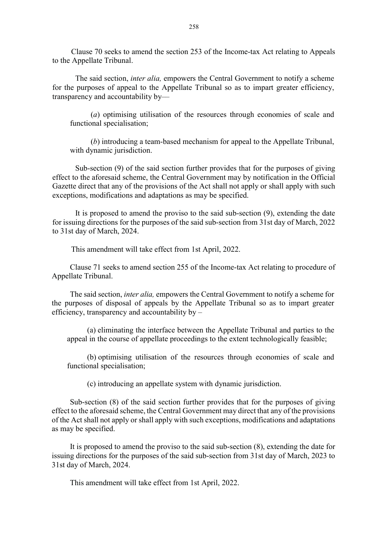Clause 70 seeks to amend the section 253 of the Income-tax Act relating to Appeals to the Appellate Tribunal.

The said section, *inter alia*, empowers the Central Government to notify a scheme for the purposes of appeal to the Appellate Tribunal so as to impart greater efficiency, transparency and accountability by––

 (a) optimising utilisation of the resources through economies of scale and functional specialisation;

 (b) introducing a team-based mechanism for appeal to the Appellate Tribunal, with dynamic jurisdiction.

 Sub-section (9) of the said section further provides that for the purposes of giving effect to the aforesaid scheme, the Central Government may by notification in the Official Gazette direct that any of the provisions of the Act shall not apply or shall apply with such exceptions, modifications and adaptations as may be specified.

 It is proposed to amend the proviso to the said sub-section (9), extending the date for issuing directions for the purposes of the said sub-section from 31st day of March, 2022 to 31st day of March, 2024.

This amendment will take effect from 1st April, 2022.

Clause 71 seeks to amend section 255 of the Income-tax Act relating to procedure of Appellate Tribunal.

The said section, inter alia, empowers the Central Government to notify a scheme for the purposes of disposal of appeals by the Appellate Tribunal so as to impart greater efficiency, transparency and accountability by –

 (a) eliminating the interface between the Appellate Tribunal and parties to the appeal in the course of appellate proceedings to the extent technologically feasible;

 (b) optimising utilisation of the resources through economies of scale and functional specialisation;

(c) introducing an appellate system with dynamic jurisdiction.

Sub-section (8) of the said section further provides that for the purposes of giving effect to the aforesaid scheme, the Central Government may direct that any of the provisions of the Act shall not apply or shall apply with such exceptions, modifications and adaptations as may be specified.

It is proposed to amend the proviso to the said sub-section (8), extending the date for issuing directions for the purposes of the said sub-section from 31st day of March, 2023 to 31st day of March, 2024.

This amendment will take effect from 1st April, 2022.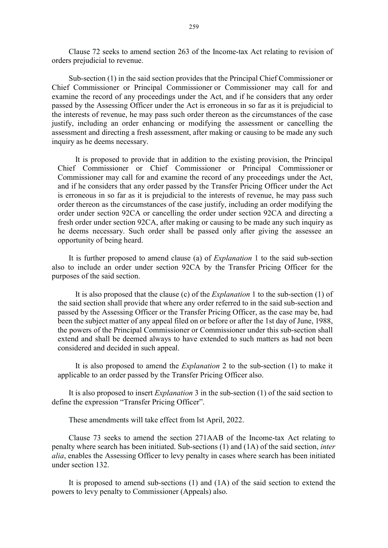Clause 72 seeks to amend section 263 of the Income-tax Act relating to revision of orders prejudicial to revenue.

Sub-section (1) in the said section provides that the Principal Chief Commissioner or Chief Commissioner or Principal Commissioner or Commissioner may call for and examine the record of any proceedings under the Act, and if he considers that any order passed by the Assessing Officer under the Act is erroneous in so far as it is prejudicial to the interests of revenue, he may pass such order thereon as the circumstances of the case justify, including an order enhancing or modifying the assessment or cancelling the assessment and directing a fresh assessment, after making or causing to be made any such inquiry as he deems necessary.

It is proposed to provide that in addition to the existing provision, the Principal Chief Commissioner or Chief Commissioner or Principal Commissioner or Commissioner may call for and examine the record of any proceedings under the Act, and if he considers that any order passed by the Transfer Pricing Officer under the Act is erroneous in so far as it is prejudicial to the interests of revenue, he may pass such order thereon as the circumstances of the case justify, including an order modifying the order under section 92CA or cancelling the order under section 92CA and directing a fresh order under section 92CA, after making or causing to be made any such inquiry as he deems necessary. Such order shall be passed only after giving the assessee an opportunity of being heard.

It is further proposed to amend clause (a) of Explanation 1 to the said sub-section also to include an order under section 92CA by the Transfer Pricing Officer for the purposes of the said section.

It is also proposed that the clause (c) of the Explanation 1 to the sub-section (1) of the said section shall provide that where any order referred to in the said sub-section and passed by the Assessing Officer or the Transfer Pricing Officer, as the case may be, had been the subject matter of any appeal filed on or before or after the 1st day of June, 1988, the powers of the Principal Commissioner or Commissioner under this sub-section shall extend and shall be deemed always to have extended to such matters as had not been considered and decided in such appeal.

It is also proposed to amend the Explanation 2 to the sub-section (1) to make it applicable to an order passed by the Transfer Pricing Officer also.

It is also proposed to insert Explanation 3 in the sub-section (1) of the said section to define the expression "Transfer Pricing Officer".

These amendments will take effect from lst April, 2022.

Clause 73 seeks to amend the section 271AAB of the Income-tax Act relating to penalty where search has been initiated. Sub-sections (1) and (1A) of the said section, inter alia, enables the Assessing Officer to levy penalty in cases where search has been initiated under section 132.

It is proposed to amend sub-sections (1) and (1A) of the said section to extend the powers to levy penalty to Commissioner (Appeals) also.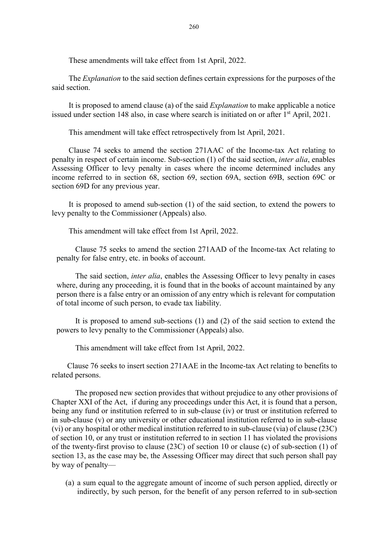These amendments will take effect from 1st April, 2022.

The Explanation to the said section defines certain expressions for the purposes of the said section.

It is proposed to amend clause (a) of the said Explanation to make applicable a notice issued under section 148 also, in case where search is initiated on or after 1<sup>st</sup> April, 2021.

This amendment will take effect retrospectively from lst April, 2021.

Clause 74 seeks to amend the section 271AAC of the Income-tax Act relating to penalty in respect of certain income. Sub-section (1) of the said section, inter alia, enables Assessing Officer to levy penalty in cases where the income determined includes any income referred to in section 68, section 69, section 69A, section 69B, section 69C or section 69D for any previous year.

It is proposed to amend sub-section (1) of the said section, to extend the powers to levy penalty to the Commissioner (Appeals) also.

This amendment will take effect from 1st April, 2022.

Clause 75 seeks to amend the section 271AAD of the Income-tax Act relating to penalty for false entry, etc. in books of account.

The said section, inter alia, enables the Assessing Officer to levy penalty in cases where, during any proceeding, it is found that in the books of account maintained by any person there is a false entry or an omission of any entry which is relevant for computation of total income of such person, to evade tax liability.

It is proposed to amend sub-sections (1) and (2) of the said section to extend the powers to levy penalty to the Commissioner (Appeals) also.

This amendment will take effect from 1st April, 2022.

Clause 76 seeks to insert section 271AAE in the Income-tax Act relating to benefits to related persons.

 The proposed new section provides that without prejudice to any other provisions of Chapter XXI of the Act, if during any proceedings under this Act, it is found that a person, being any fund or institution referred to in sub-clause (iv) or trust or institution referred to in sub-clause (v) or any university or other educational institution referred to in sub-clause (vi) or any hospital or other medical institution referred to in sub-clause (via) of clause (23C) of section 10, or any trust or institution referred to in section 11 has violated the provisions of the twenty-first proviso to clause (23C) of section 10 or clause (c) of sub-section (1) of section 13, as the case may be, the Assessing Officer may direct that such person shall pay by way of penalty––

(a) a sum equal to the aggregate amount of income of such person applied, directly or indirectly, by such person, for the benefit of any person referred to in sub-section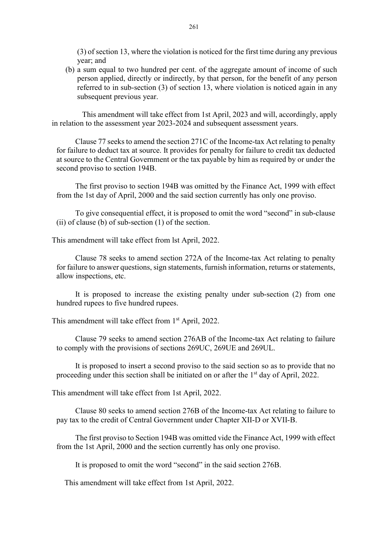(3) of section 13, where the violation is noticed for the first time during any previous year; and

(b) a sum equal to two hundred per cent. of the aggregate amount of income of such person applied, directly or indirectly, by that person, for the benefit of any person referred to in sub-section (3) of section 13, where violation is noticed again in any subsequent previous year.

 This amendment will take effect from 1st April, 2023 and will, accordingly, apply in relation to the assessment year 2023-2024 and subsequent assessment years.

Clause 77 seeks to amend the section 271C of the Income-tax Act relating to penalty for failure to deduct tax at source. It provides for penalty for failure to credit tax deducted at source to the Central Government or the tax payable by him as required by or under the second proviso to section 194B.

The first proviso to section 194B was omitted by the Finance Act, 1999 with effect from the 1st day of April, 2000 and the said section currently has only one proviso.

To give consequential effect, it is proposed to omit the word "second" in sub-clause (ii) of clause (b) of sub-section (1) of the section.

This amendment will take effect from lst April, 2022.

Clause 78 seeks to amend section 272A of the Income-tax Act relating to penalty for failure to answer questions, sign statements, furnish information, returns or statements, allow inspections, etc.

It is proposed to increase the existing penalty under sub-section (2) from one hundred rupees to five hundred rupees.

This amendment will take effect from 1<sup>st</sup> April, 2022.

Clause 79 seeks to amend section 276AB of the Income-tax Act relating to failure to comply with the provisions of sections 269UC, 269UE and 269UL.

It is proposed to insert a second proviso to the said section so as to provide that no proceeding under this section shall be initiated on or after the 1<sup>st</sup> day of April, 2022.

This amendment will take effect from 1st April, 2022.

Clause 80 seeks to amend section 276B of the Income-tax Act relating to failure to pay tax to the credit of Central Government under Chapter XII-D or XVII-B.

The first proviso to Section 194B was omitted vide the Finance Act, 1999 with effect from the 1st April, 2000 and the section currently has only one proviso.

It is proposed to omit the word "second" in the said section 276B.

This amendment will take effect from 1st April, 2022.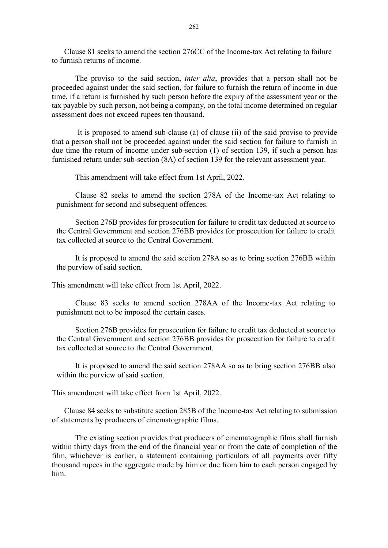Clause 81 seeks to amend the section 276CC of the Income-tax Act relating to failure to furnish returns of income.

The proviso to the said section, *inter alia*, provides that a person shall not be proceeded against under the said section, for failure to furnish the return of income in due time, if a return is furnished by such person before the expiry of the assessment year or the tax payable by such person, not being a company, on the total income determined on regular assessment does not exceed rupees ten thousand.

It is proposed to amend sub-clause (a) of clause (ii) of the said proviso to provide that a person shall not be proceeded against under the said section for failure to furnish in due time the return of income under sub-section (1) of section 139, if such a person has furnished return under sub-section (8A) of section 139 for the relevant assessment year.

This amendment will take effect from 1st April, 2022.

Clause 82 seeks to amend the section 278A of the Income-tax Act relating to punishment for second and subsequent offences.

Section 276B provides for prosecution for failure to credit tax deducted at source to the Central Government and section 276BB provides for prosecution for failure to credit tax collected at source to the Central Government.

It is proposed to amend the said section 278A so as to bring section 276BB within the purview of said section.

This amendment will take effect from 1st April, 2022.

Clause 83 seeks to amend section 278AA of the Income-tax Act relating to punishment not to be imposed the certain cases.

Section 276B provides for prosecution for failure to credit tax deducted at source to the Central Government and section 276BB provides for prosecution for failure to credit tax collected at source to the Central Government.

It is proposed to amend the said section 278AA so as to bring section 276BB also within the purview of said section.

This amendment will take effect from 1st April, 2022.

Clause 84 seeks to substitute section 285B of the Income-tax Act relating to submission of statements by producers of cinematographic films.

 The existing section provides that producers of cinematographic films shall furnish within thirty days from the end of the financial year or from the date of completion of the film, whichever is earlier, a statement containing particulars of all payments over fifty thousand rupees in the aggregate made by him or due from him to each person engaged by him.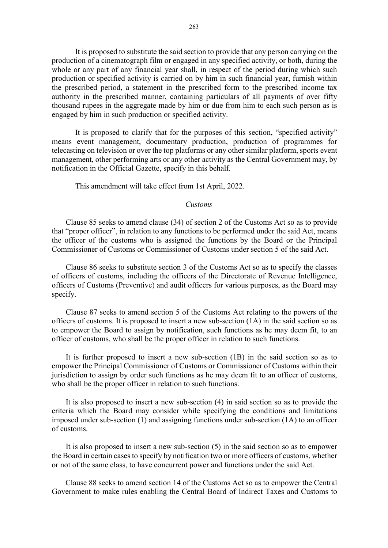It is proposed to substitute the said section to provide that any person carrying on the production of a cinematograph film or engaged in any specified activity, or both, during the whole or any part of any financial year shall, in respect of the period during which such production or specified activity is carried on by him in such financial year, furnish within the prescribed period, a statement in the prescribed form to the prescribed income tax authority in the prescribed manner, containing particulars of all payments of over fifty thousand rupees in the aggregate made by him or due from him to each such person as is engaged by him in such production or specified activity.

 It is proposed to clarify that for the purposes of this section, "specified activity" means event management, documentary production, production of programmes for telecasting on television or over the top platforms or any other similar platform, sports event management, other performing arts or any other activity as the Central Government may, by notification in the Official Gazette, specify in this behalf.

This amendment will take effect from 1st April, 2022.

#### Customs

Clause 85 seeks to amend clause (34) of section 2 of the Customs Act so as to provide that "proper officer", in relation to any functions to be performed under the said Act, means the officer of the customs who is assigned the functions by the Board or the Principal Commissioner of Customs or Commissioner of Customs under section 5 of the said Act.

Clause 86 seeks to substitute section 3 of the Customs Act so as to specify the classes of officers of customs, including the officers of the Directorate of Revenue Intelligence, officers of Customs (Preventive) and audit officers for various purposes, as the Board may specify.

Clause 87 seeks to amend section 5 of the Customs Act relating to the powers of the officers of customs. It is proposed to insert a new sub-section (1A) in the said section so as to empower the Board to assign by notification, such functions as he may deem fit, to an officer of customs, who shall be the proper officer in relation to such functions.

It is further proposed to insert a new sub-section (1B) in the said section so as to empower the Principal Commissioner of Customs or Commissioner of Customs within their jurisdiction to assign by order such functions as he may deem fit to an officer of customs, who shall be the proper officer in relation to such functions.

It is also proposed to insert a new sub-section (4) in said section so as to provide the criteria which the Board may consider while specifying the conditions and limitations imposed under sub-section  $(1)$  and assigning functions under sub-section  $(1A)$  to an officer of customs.

It is also proposed to insert a new sub-section (5) in the said section so as to empower the Board in certain cases to specify by notification two or more officers of customs, whether or not of the same class, to have concurrent power and functions under the said Act.

 Clause 88 seeks to amend section 14 of the Customs Act so as to empower the Central Government to make rules enabling the Central Board of Indirect Taxes and Customs to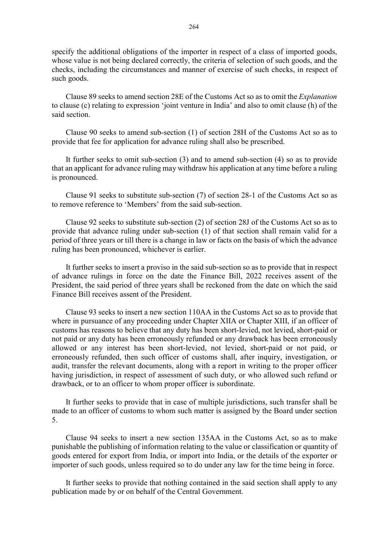specify the additional obligations of the importer in respect of a class of imported goods, whose value is not being declared correctly, the criteria of selection of such goods, and the checks, including the circumstances and manner of exercise of such checks, in respect of such goods.

Clause 89 seeks to amend section 28E of the Customs Act so as to omit the Explanation to clause (c) relating to expression 'joint venture in India' and also to omit clause (h) of the said section.

Clause 90 seeks to amend sub-section (1) of section 28H of the Customs Act so as to provide that fee for application for advance ruling shall also be prescribed.

It further seeks to omit sub-section (3) and to amend sub-section (4) so as to provide that an applicant for advance ruling may withdraw his application at any time before a ruling is pronounced.

Clause 91 seeks to substitute sub-section (7) of section 28-1 of the Customs Act so as to remove reference to 'Members' from the said sub-section.

Clause 92 seeks to substitute sub-section (2) of section 28J of the Customs Act so as to provide that advance ruling under sub-section (1) of that section shall remain valid for a period of three years or till there is a change in law or facts on the basis of which the advance ruling has been pronounced, whichever is earlier.

It further seeks to insert a proviso in the said sub-section so as to provide that in respect of advance rulings in force on the date the Finance Bill, 2022 receives assent of the President, the said period of three years shall be reckoned from the date on which the said Finance Bill receives assent of the President.

Clause 93 seeks to insert a new section 110AA in the Customs Act so as to provide that where in pursuance of any proceeding under Chapter XIIA or Chapter XIII, if an officer of customs has reasons to believe that any duty has been short-levied, not levied, short-paid or not paid or any duty has been erroneously refunded or any drawback has been erroneously allowed or any interest has been short-levied, not levied, short-paid or not paid, or erroneously refunded, then such officer of customs shall, after inquiry, investigation, or audit, transfer the relevant documents, along with a report in writing to the proper officer having jurisdiction, in respect of assessment of such duty, or who allowed such refund or drawback, or to an officer to whom proper officer is subordinate.

It further seeks to provide that in case of multiple jurisdictions, such transfer shall be made to an officer of customs to whom such matter is assigned by the Board under section 5.

Clause 94 seeks to insert a new section 135AA in the Customs Act, so as to make punishable the publishing of information relating to the value or classification or quantity of goods entered for export from India, or import into India, or the details of the exporter or importer of such goods, unless required so to do under any law for the time being in force.

It further seeks to provide that nothing contained in the said section shall apply to any publication made by or on behalf of the Central Government.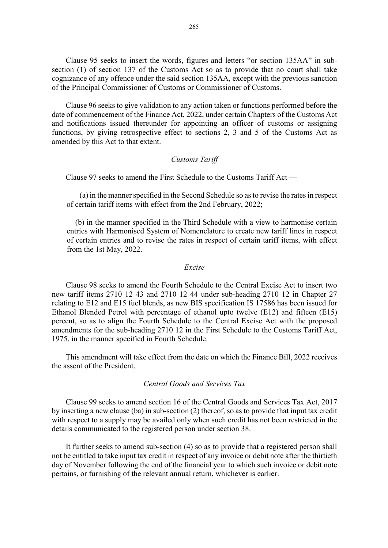Clause 95 seeks to insert the words, figures and letters "or section 135AA" in subsection (1) of section 137 of the Customs Act so as to provide that no court shall take cognizance of any offence under the said section 135AA, except with the previous sanction of the Principal Commissioner of Customs or Commissioner of Customs.

Clause 96 seeks to give validation to any action taken or functions performed before the date of commencement of the Finance Act, 2022, under certain Chapters of the Customs Act and notifications issued thereunder for appointing an officer of customs or assigning functions, by giving retrospective effect to sections 2, 3 and 5 of the Customs Act as amended by this Act to that extent.

## Customs Tariff

Clause 97 seeks to amend the First Schedule to the Customs Tariff Act —

(a) in the manner specified in the Second Schedule so as to revise the rates in respect of certain tariff items with effect from the 2nd February, 2022;

(b) in the manner specified in the Third Schedule with a view to harmonise certain entries with Harmonised System of Nomenclature to create new tariff lines in respect of certain entries and to revise the rates in respect of certain tariff items, with effect from the 1st May, 2022.

#### Excise

Clause 98 seeks to amend the Fourth Schedule to the Central Excise Act to insert two new tariff items 2710 12 43 and 2710 12 44 under sub-heading 2710 12 in Chapter 27 relating to E12 and E15 fuel blends, as new BIS specification IS 17586 has been issued for Ethanol Blended Petrol with percentage of ethanol upto twelve (E12) and fifteen (E15) percent, so as to align the Fourth Schedule to the Central Excise Act with the proposed amendments for the sub-heading 2710 12 in the First Schedule to the Customs Tariff Act, 1975, in the manner specified in Fourth Schedule.

This amendment will take effect from the date on which the Finance Bill, 2022 receives the assent of the President.

# Central Goods and Services Tax

Clause 99 seeks to amend section 16 of the Central Goods and Services Tax Act, 2017 by inserting a new clause (ba) in sub-section (2) thereof, so as to provide that input tax credit with respect to a supply may be availed only when such credit has not been restricted in the details communicated to the registered person under section 38.

It further seeks to amend sub-section (4) so as to provide that a registered person shall not be entitled to take input tax credit in respect of any invoice or debit note after the thirtieth day of November following the end of the financial year to which such invoice or debit note pertains, or furnishing of the relevant annual return, whichever is earlier.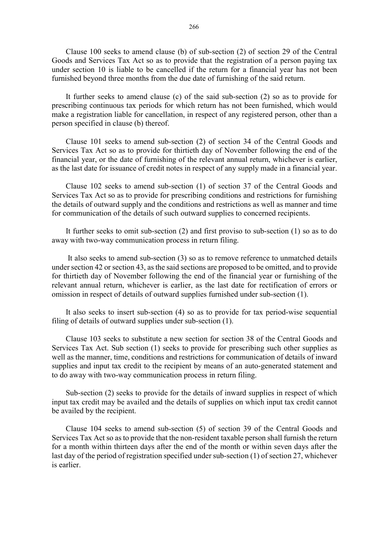Clause 100 seeks to amend clause (b) of sub-section (2) of section 29 of the Central Goods and Services Tax Act so as to provide that the registration of a person paying tax under section 10 is liable to be cancelled if the return for a financial year has not been furnished beyond three months from the due date of furnishing of the said return.

It further seeks to amend clause (c) of the said sub-section (2) so as to provide for prescribing continuous tax periods for which return has not been furnished, which would make a registration liable for cancellation, in respect of any registered person, other than a person specified in clause (b) thereof.

Clause 101 seeks to amend sub-section (2) of section 34 of the Central Goods and Services Tax Act so as to provide for thirtieth day of November following the end of the financial year, or the date of furnishing of the relevant annual return, whichever is earlier, as the last date for issuance of credit notes in respect of any supply made in a financial year.

Clause 102 seeks to amend sub-section (1) of section 37 of the Central Goods and Services Tax Act so as to provide for prescribing conditions and restrictions for furnishing the details of outward supply and the conditions and restrictions as well as manner and time for communication of the details of such outward supplies to concerned recipients.

It further seeks to omit sub-section (2) and first proviso to sub-section (1) so as to do away with two-way communication process in return filing.

 It also seeks to amend sub-section (3) so as to remove reference to unmatched details under section 42 or section 43, as the said sections are proposed to be omitted, and to provide for thirtieth day of November following the end of the financial year or furnishing of the relevant annual return, whichever is earlier, as the last date for rectification of errors or omission in respect of details of outward supplies furnished under sub-section (1).

It also seeks to insert sub-section (4) so as to provide for tax period-wise sequential filing of details of outward supplies under sub-section (1).

Clause 103 seeks to substitute a new section for section 38 of the Central Goods and Services Tax Act. Sub section (1) seeks to provide for prescribing such other supplies as well as the manner, time, conditions and restrictions for communication of details of inward supplies and input tax credit to the recipient by means of an auto-generated statement and to do away with two-way communication process in return filing.

Sub-section (2) seeks to provide for the details of inward supplies in respect of which input tax credit may be availed and the details of supplies on which input tax credit cannot be availed by the recipient.

Clause 104 seeks to amend sub-section (5) of section 39 of the Central Goods and Services Tax Act so as to provide that the non-resident taxable person shall furnish the return for a month within thirteen days after the end of the month or within seven days after the last day of the period of registration specified under sub-section (1) of section 27, whichever is earlier.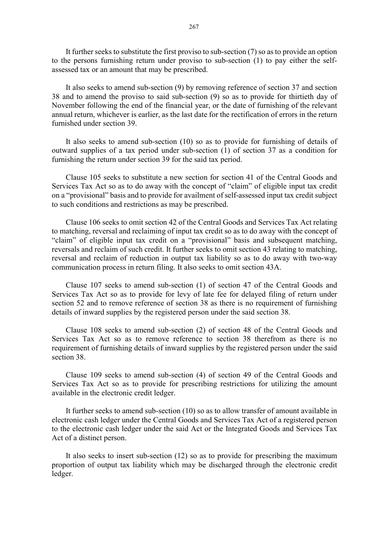It further seeks to substitute the first proviso to sub-section (7) so as to provide an option to the persons furnishing return under proviso to sub-section (1) to pay either the selfassessed tax or an amount that may be prescribed.

It also seeks to amend sub-section (9) by removing reference of section 37 and section 38 and to amend the proviso to said sub-section (9) so as to provide for thirtieth day of November following the end of the financial year, or the date of furnishing of the relevant annual return, whichever is earlier, as the last date for the rectification of errors in the return furnished under section 39.

It also seeks to amend sub-section (10) so as to provide for furnishing of details of outward supplies of a tax period under sub-section (1) of section 37 as a condition for furnishing the return under section 39 for the said tax period.

Clause 105 seeks to substitute a new section for section 41 of the Central Goods and Services Tax Act so as to do away with the concept of "claim" of eligible input tax credit on a "provisional" basis and to provide for availment of self-assessed input tax credit subject to such conditions and restrictions as may be prescribed.

Clause 106 seeks to omit section 42 of the Central Goods and Services Tax Act relating to matching, reversal and reclaiming of input tax credit so as to do away with the concept of "claim" of eligible input tax credit on a "provisional" basis and subsequent matching, reversals and reclaim of such credit. It further seeks to omit section 43 relating to matching, reversal and reclaim of reduction in output tax liability so as to do away with two-way communication process in return filing. It also seeks to omit section 43A.

Clause 107 seeks to amend sub-section (1) of section 47 of the Central Goods and Services Tax Act so as to provide for levy of late fee for delayed filing of return under section 52 and to remove reference of section 38 as there is no requirement of furnishing details of inward supplies by the registered person under the said section 38.

Clause 108 seeks to amend sub-section (2) of section 48 of the Central Goods and Services Tax Act so as to remove reference to section 38 therefrom as there is no requirement of furnishing details of inward supplies by the registered person under the said section 38.

Clause 109 seeks to amend sub-section (4) of section 49 of the Central Goods and Services Tax Act so as to provide for prescribing restrictions for utilizing the amount available in the electronic credit ledger.

It further seeks to amend sub-section (10) so as to allow transfer of amount available in electronic cash ledger under the Central Goods and Services Tax Act of a registered person to the electronic cash ledger under the said Act or the Integrated Goods and Services Tax Act of a distinct person.

It also seeks to insert sub-section (12) so as to provide for prescribing the maximum proportion of output tax liability which may be discharged through the electronic credit ledger.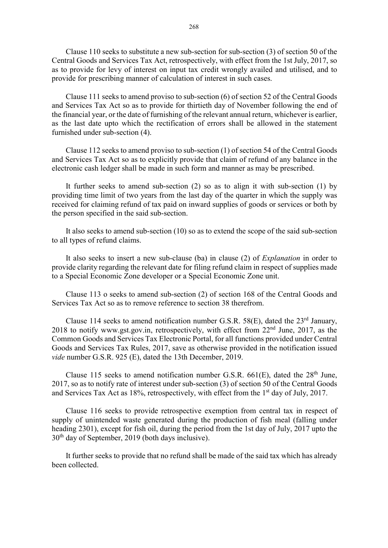Clause 110 seeks to substitute a new sub-section for sub-section (3) of section 50 of the Central Goods and Services Tax Act, retrospectively, with effect from the 1st July, 2017, so as to provide for levy of interest on input tax credit wrongly availed and utilised, and to provide for prescribing manner of calculation of interest in such cases.

Clause 111 seeks to amend proviso to sub-section (6) of section 52 of the Central Goods and Services Tax Act so as to provide for thirtieth day of November following the end of the financial year, or the date of furnishing of the relevant annual return, whichever is earlier, as the last date upto which the rectification of errors shall be allowed in the statement furnished under sub-section (4).

Clause 112 seeks to amend proviso to sub-section (1) of section 54 of the Central Goods and Services Tax Act so as to explicitly provide that claim of refund of any balance in the electronic cash ledger shall be made in such form and manner as may be prescribed.

It further seeks to amend sub-section (2) so as to align it with sub-section (1) by providing time limit of two years from the last day of the quarter in which the supply was received for claiming refund of tax paid on inward supplies of goods or services or both by the person specified in the said sub-section.

It also seeks to amend sub-section (10) so as to extend the scope of the said sub-section to all types of refund claims.

It also seeks to insert a new sub-clause (ba) in clause (2) of Explanation in order to provide clarity regarding the relevant date for filing refund claim in respect of supplies made to a Special Economic Zone developer or a Special Economic Zone unit.

Clause 113 o seeks to amend sub-section (2) of section 168 of the Central Goods and Services Tax Act so as to remove reference to section 38 therefrom.

Clause 114 seeks to amend notification number G.S.R. 58 $(E)$ , dated the 23<sup>rd</sup> January, 2018 to notify www.gst.gov.in, retrospectively, with effect from 22<sup>nd</sup> June, 2017, as the Common Goods and Services Tax Electronic Portal, for all functions provided under Central Goods and Services Tax Rules, 2017, save as otherwise provided in the notification issued vide number G.S.R. 925 (E), dated the 13th December, 2019.

Clause 115 seeks to amend notification number G.S.R.  $661(E)$ , dated the  $28<sup>th</sup>$  June, 2017, so as to notify rate of interest under sub-section (3) of section 50 of the Central Goods and Services Tax Act as 18%, retrospectively, with effect from the 1<sup>st</sup> day of July, 2017.

Clause 116 seeks to provide retrospective exemption from central tax in respect of supply of unintended waste generated during the production of fish meal (falling under heading 2301), except for fish oil, during the period from the 1st day of July, 2017 upto the 30th day of September, 2019 (both days inclusive).

It further seeks to provide that no refund shall be made of the said tax which has already been collected.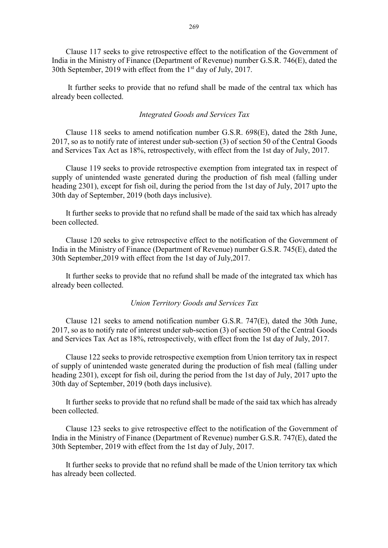Clause 117 seeks to give retrospective effect to the notification of the Government of India in the Ministry of Finance (Department of Revenue) number G.S.R. 746(E), dated the 30th September, 2019 with effect from the 1<sup>st</sup> day of July, 2017.

 It further seeks to provide that no refund shall be made of the central tax which has already been collected.

#### Integrated Goods and Services Tax

Clause 118 seeks to amend notification number G.S.R. 698(E), dated the 28th June, 2017, so as to notify rate of interest under sub-section (3) of section 50 of the Central Goods and Services Tax Act as 18%, retrospectively, with effect from the 1st day of July, 2017.

Clause 119 seeks to provide retrospective exemption from integrated tax in respect of supply of unintended waste generated during the production of fish meal (falling under heading 2301), except for fish oil, during the period from the 1st day of July, 2017 upto the 30th day of September, 2019 (both days inclusive).

It further seeks to provide that no refund shall be made of the said tax which has already been collected.

Clause 120 seeks to give retrospective effect to the notification of the Government of India in the Ministry of Finance (Department of Revenue) number G.S.R. 745(E), dated the 30th September,2019 with effect from the 1st day of July,2017.

It further seeks to provide that no refund shall be made of the integrated tax which has already been collected.

## Union Territory Goods and Services Tax

Clause 121 seeks to amend notification number G.S.R. 747(E), dated the 30th June, 2017, so as to notify rate of interest under sub-section (3) of section 50 of the Central Goods and Services Tax Act as 18%, retrospectively, with effect from the 1st day of July, 2017.

Clause 122 seeks to provide retrospective exemption from Union territory tax in respect of supply of unintended waste generated during the production of fish meal (falling under heading 2301), except for fish oil, during the period from the 1st day of July, 2017 upto the 30th day of September, 2019 (both days inclusive).

It further seeks to provide that no refund shall be made of the said tax which has already been collected.

Clause 123 seeks to give retrospective effect to the notification of the Government of India in the Ministry of Finance (Department of Revenue) number G.S.R. 747(E), dated the 30th September, 2019 with effect from the 1st day of July, 2017.

It further seeks to provide that no refund shall be made of the Union territory tax which has already been collected.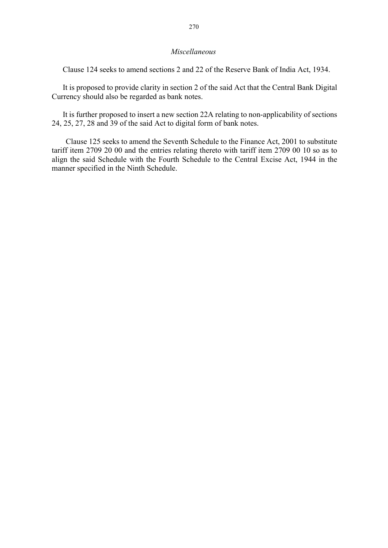## Miscellaneous

Clause 124 seeks to amend sections 2 and 22 of the Reserve Bank of India Act, 1934.

It is proposed to provide clarity in section 2 of the said Act that the Central Bank Digital Currency should also be regarded as bank notes.

It is further proposed to insert a new section 22A relating to non-applicability of sections 24, 25, 27, 28 and 39 of the said Act to digital form of bank notes.

Clause 125 seeks to amend the Seventh Schedule to the Finance Act, 2001 to substitute tariff item 2709 20 00 and the entries relating thereto with tariff item 2709 00 10 so as to align the said Schedule with the Fourth Schedule to the Central Excise Act, 1944 in the manner specified in the Ninth Schedule.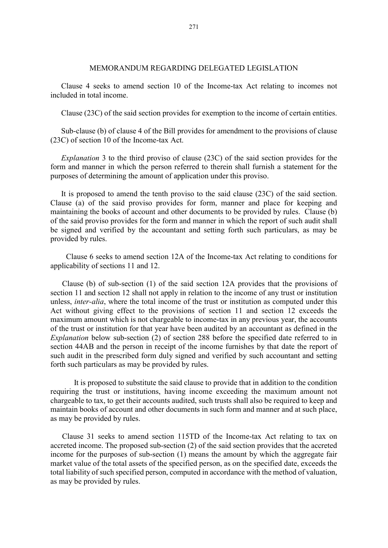# MEMORANDUM REGARDING DELEGATED LEGISLATION

Clause 4 seeks to amend section 10 of the Income-tax Act relating to incomes not included in total income.

Clause (23C) of the said section provides for exemption to the income of certain entities.

Sub-clause (b) of clause 4 of the Bill provides for amendment to the provisions of clause (23C) of section 10 of the Income-tax Act.

Explanation 3 to the third proviso of clause (23C) of the said section provides for the form and manner in which the person referred to therein shall furnish a statement for the purposes of determining the amount of application under this proviso.

It is proposed to amend the tenth proviso to the said clause (23C) of the said section. Clause (a) of the said proviso provides for form, manner and place for keeping and maintaining the books of account and other documents to be provided by rules. Clause (b) of the said proviso provides for the form and manner in which the report of such audit shall be signed and verified by the accountant and setting forth such particulars, as may be provided by rules.

 Clause 6 seeks to amend section 12A of the Income-tax Act relating to conditions for applicability of sections 11 and 12.

 Clause (b) of sub-section (1) of the said section 12A provides that the provisions of section 11 and section 12 shall not apply in relation to the income of any trust or institution unless, *inter-alia*, where the total income of the trust or institution as computed under this Act without giving effect to the provisions of section 11 and section 12 exceeds the maximum amount which is not chargeable to income-tax in any previous year, the accounts of the trust or institution for that year have been audited by an accountant as defined in the Explanation below sub-section (2) of section 288 before the specified date referred to in section 44AB and the person in receipt of the income furnishes by that date the report of such audit in the prescribed form duly signed and verified by such accountant and setting forth such particulars as may be provided by rules.

 It is proposed to substitute the said clause to provide that in addition to the condition requiring the trust or institutions, having income exceeding the maximum amount not chargeable to tax, to get their accounts audited, such trusts shall also be required to keep and maintain books of account and other documents in such form and manner and at such place, as may be provided by rules.

Clause 31 seeks to amend section 115TD of the Income-tax Act relating to tax on accreted income. The proposed sub-section (2) of the said section provides that the accreted income for the purposes of sub-section (1) means the amount by which the aggregate fair market value of the total assets of the specified person, as on the specified date, exceeds the total liability of such specified person, computed in accordance with the method of valuation, as may be provided by rules.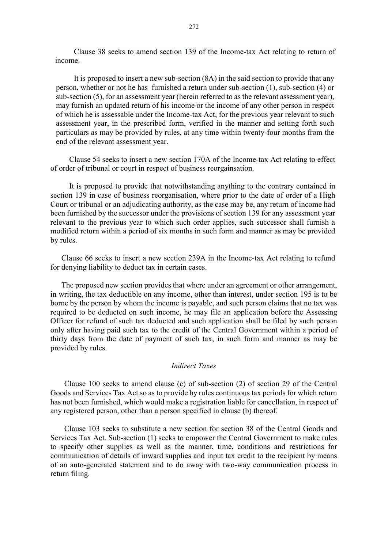Clause 38 seeks to amend section 139 of the Income-tax Act relating to return of income.

It is proposed to insert a new sub-section (8A) in the said section to provide that any person, whether or not he has furnished a return under sub-section (1), sub-section (4) or sub-section (5), for an assessment year (herein referred to as the relevant assessment year), may furnish an updated return of his income or the income of any other person in respect of which he is assessable under the Income-tax Act, for the previous year relevant to such assessment year, in the prescribed form, verified in the manner and setting forth such particulars as may be provided by rules, at any time within twenty-four months from the end of the relevant assessment year.

Clause 54 seeks to insert a new section 170A of the Income-tax Act relating to effect of order of tribunal or court in respect of business reorgainsation.

It is proposed to provide that notwithstanding anything to the contrary contained in section 139 in case of business reorganisation, where prior to the date of order of a High Court or tribunal or an adjudicating authority, as the case may be, any return of income had been furnished by the successor under the provisions of section 139 for any assessment year relevant to the previous year to which such order applies, such successor shall furnish a modified return within a period of six months in such form and manner as may be provided by rules.

Clause 66 seeks to insert a new section 239A in the Income-tax Act relating to refund for denying liability to deduct tax in certain cases.

The proposed new section provides that where under an agreement or other arrangement, in writing, the tax deductible on any income, other than interest, under section 195 is to be borne by the person by whom the income is payable, and such person claims that no tax was required to be deducted on such income, he may file an application before the Assessing Officer for refund of such tax deducted and such application shall be filed by such person only after having paid such tax to the credit of the Central Government within a period of thirty days from the date of payment of such tax, in such form and manner as may be provided by rules.

#### Indirect Taxes

Clause 100 seeks to amend clause (c) of sub-section (2) of section 29 of the Central Goods and Services Tax Act so as to provide by rules continuous tax periods for which return has not been furnished, which would make a registration liable for cancellation, in respect of any registered person, other than a person specified in clause (b) thereof.

Clause 103 seeks to substitute a new section for section 38 of the Central Goods and Services Tax Act. Sub-section (1) seeks to empower the Central Government to make rules to specify other supplies as well as the manner, time, conditions and restrictions for communication of details of inward supplies and input tax credit to the recipient by means of an auto-generated statement and to do away with two-way communication process in return filing.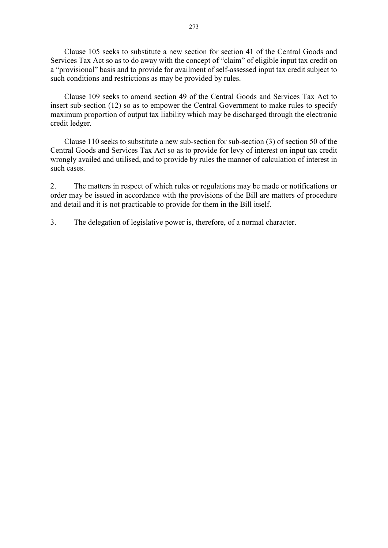Clause 105 seeks to substitute a new section for section 41 of the Central Goods and Services Tax Act so as to do away with the concept of "claim" of eligible input tax credit on a "provisional" basis and to provide for availment of self-assessed input tax credit subject to such conditions and restrictions as may be provided by rules.

Clause 109 seeks to amend section 49 of the Central Goods and Services Tax Act to insert sub-section (12) so as to empower the Central Government to make rules to specify maximum proportion of output tax liability which may be discharged through the electronic credit ledger.

Clause 110 seeks to substitute a new sub-section for sub-section (3) of section 50 of the Central Goods and Services Tax Act so as to provide for levy of interest on input tax credit wrongly availed and utilised, and to provide by rules the manner of calculation of interest in such cases.

2. The matters in respect of which rules or regulations may be made or notifications or order may be issued in accordance with the provisions of the Bill are matters of procedure and detail and it is not practicable to provide for them in the Bill itself.

3. The delegation of legislative power is, therefore, of a normal character.